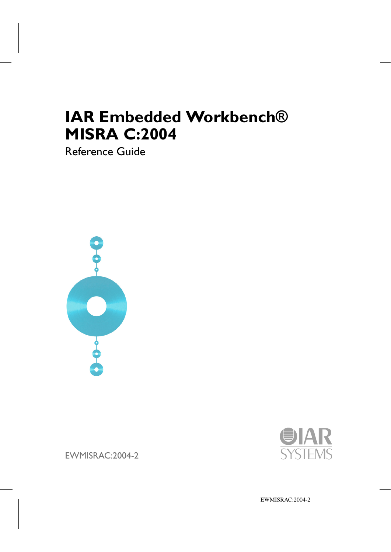# **IAR Embedded Workbench® MISRA C:2004**

Reference Guide





EWMISRAC:2004-2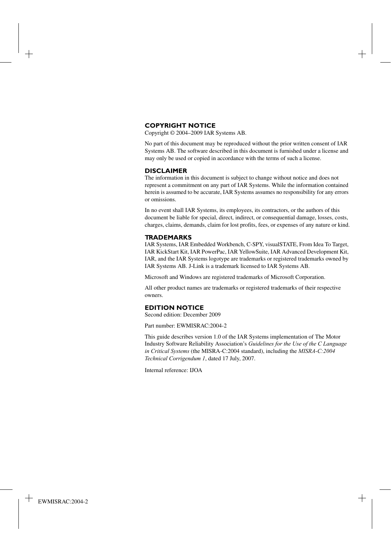### **COPYRIGHT NOTICE**

Copyright © 2004–2009 IAR Systems AB.

No part of this document may be reproduced without the prior written consent of IAR Systems AB. The software described in this document is furnished under a license and may only be used or copied in accordance with the terms of such a license.

#### **DISCLAIMER**

The information in this document is subject to change without notice and does not represent a commitment on any part of IAR Systems. While the information contained herein is assumed to be accurate, IAR Systems assumes no responsibility for any errors or omissions.

In no event shall IAR Systems, its employees, its contractors, or the authors of this document be liable for special, direct, indirect, or consequential damage, losses, costs, charges, claims, demands, claim for lost profits, fees, or expenses of any nature or kind.

#### **TRADEMARKS**

IAR Systems, IAR Embedded Workbench, C-SPY, visualSTATE, From Idea To Target, IAR KickStart Kit, IAR PowerPac, IAR YellowSuite, IAR Advanced Development Kit, IAR, and the IAR Systems logotype are trademarks or registered trademarks owned by IAR Systems AB. J-Link is a trademark licensed to IAR Systems AB.

Microsoft and Windows are registered trademarks of Microsoft Corporation.

All other product names are trademarks or registered trademarks of their respective owners.

#### **EDITION NOTICE**

Second edition: December 2009

Part number: EWMISRAC:2004-2

This guide describes version 1.0 of the IAR Systems implementation of The Motor Industry Software Reliability Association's *Guidelines for the Use of the C Language in Critical Systems* (the MISRA-C:2004 standard), including the *MISRA-C:2004 Technical Corrigendum 1*, dated 17 July, 2007.

Internal reference: IJOA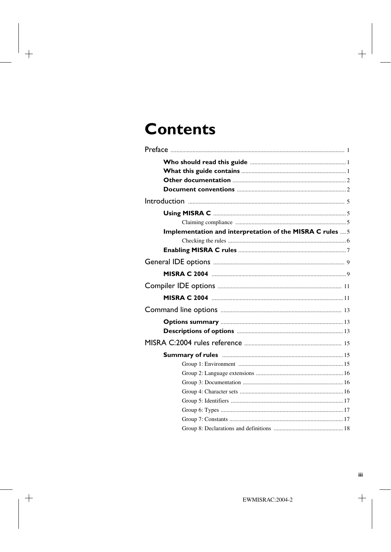# **Contents**

| Implementation and interpretation of the MISRA C rules  5 |  |
|-----------------------------------------------------------|--|
|                                                           |  |
|                                                           |  |
|                                                           |  |
|                                                           |  |
|                                                           |  |
|                                                           |  |
|                                                           |  |
|                                                           |  |
|                                                           |  |
|                                                           |  |
|                                                           |  |
|                                                           |  |
|                                                           |  |
|                                                           |  |
|                                                           |  |
|                                                           |  |
|                                                           |  |
|                                                           |  |
|                                                           |  |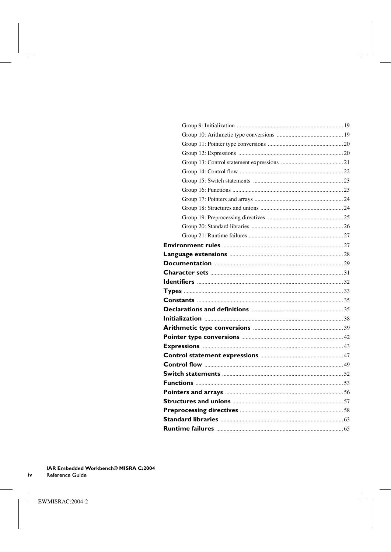$\mathbf i\mathbf v$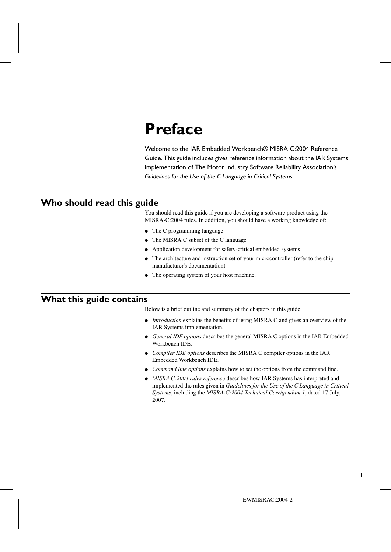# <span id="page-4-0"></span>**Preface**

Welcome to the IAR Embedded Workbench® MISRA C:2004 Reference Guide. This guide includes gives reference information about the IAR Systems implementation of The Motor Industry Software Reliability Association's *Guidelines for the Use of the C Language in Critical Systems*.

# <span id="page-4-1"></span>**Who should read this guide**

You should read this guide if you are developing a software product using the MISRA-C:2004 rules. In addition, you should have a working knowledge of:

- The C programming language
- The MISRA C subset of the C language
- Application development for safety-critical embedded systems
- The architecture and instruction set of your microcontroller (refer to the chip manufacturer's documentation)
- The operating system of your host machine.

# <span id="page-4-2"></span>**What this guide contains**

Below is a brief outline and summary of the chapters in this guide.

- *[Introduction](#page-8-4)* explains the benefits of using MISRA C and gives an overview of the IAR Systems implementation.
- *[General IDE options](#page-12-2)* describes the general MISRA C options in the IAR Embedded Workbench IDE.
- *[Compiler IDE options](#page-14-2)* describes the MISRA C compiler options in the IAR Embedded Workbench IDE.
- *[Command line options](#page-16-3)* explains how to set the options from the command line.
- *[MISRA C:2004 rules reference](#page-18-3)* describes how IAR Systems has interpreted and implemented the rules given in *Guidelines for the Use of the C Language in Critical Systems*, including the *MISRA-C:2004 Technical Corrigendum 1*, dated 17 July, 2007.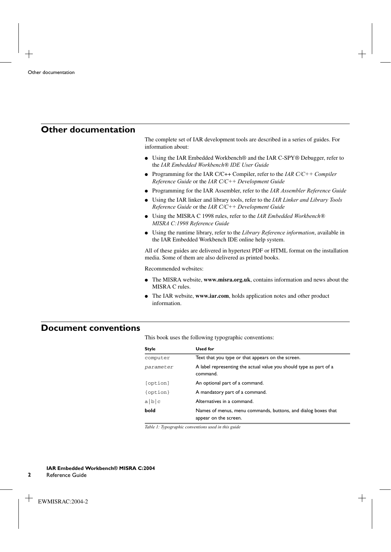# <span id="page-5-0"></span>**Other documentation**

The complete set of IAR development tools are described in a series of guides. For information about:

- Using the IAR Embedded Workbench® and the IAR C-SPY® Debugger, refer to the *IAR Embedded Workbench® IDE User Guide*
- Programming for the IAR C/C++ Compiler, refer to the *IAR C/C++ Compiler Reference Guide* or the *IAR C/C++ Development Guide*
- Programming for the IAR Assembler, refer to the *IAR Assembler Reference Guide*
- Using the IAR linker and library tools, refer to the *IAR Linker and Library Tools Reference Guide* or the *IAR C/C++ Development Guide*
- Using the MISRA C 1998 rules, refer to the *IAR Embedded Workbench® MISRA C:1998 Reference Guide*
- Using the runtime library, refer to the *Library Reference information*, available in the IAR Embedded Workbench IDE online help system.

All of these guides are delivered in hypertext PDF or HTML format on the installation media. Some of them are also delivered as printed books.

Recommended websites:

- The MISRA website, **www.misra.org.uk**, contains information and news about the MISRA C rules.
- The IAR website, **www.iar.com**, holds application notes and other product information.

# <span id="page-5-1"></span>**Document conventions**

This book uses the following typographic conventions:

| <b>Style</b> | <b>Used for</b>                                                                        |
|--------------|----------------------------------------------------------------------------------------|
| computer     | Text that you type or that appears on the screen.                                      |
| parameter    | A label representing the actual value you should type as part of a<br>command.         |
| [option]     | An optional part of a command.                                                         |
| $\{$         | A mandatory part of a command.                                                         |
| a b c        | Alternatives in a command.                                                             |
| bold         | Names of menus, menu commands, buttons, and dialog boxes that<br>appear on the screen. |

*Table 1: Typographic conventions used in this guide*

**2**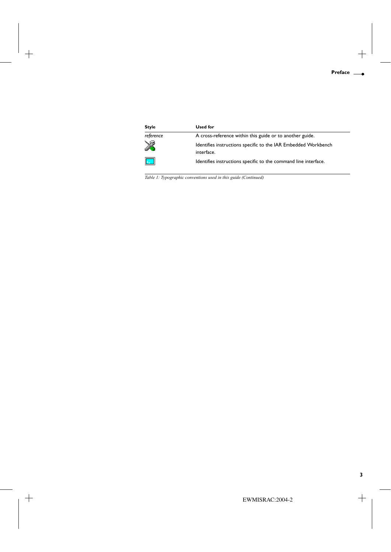| Style     | Used for                                                                     |
|-----------|------------------------------------------------------------------------------|
| reference | A cross-reference within this guide or to another guide.                     |
| X         | Identifies instructions specific to the IAR Embedded Workbench<br>interface. |
| $\sum$    | Identifies instructions specific to the command line interface.              |

*Table 1: Typographic conventions used in this guide (Continued)*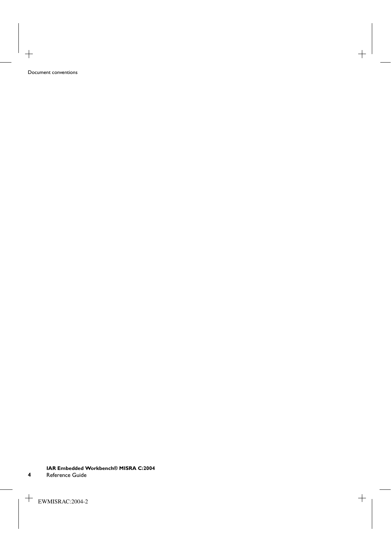Document conventions

**4**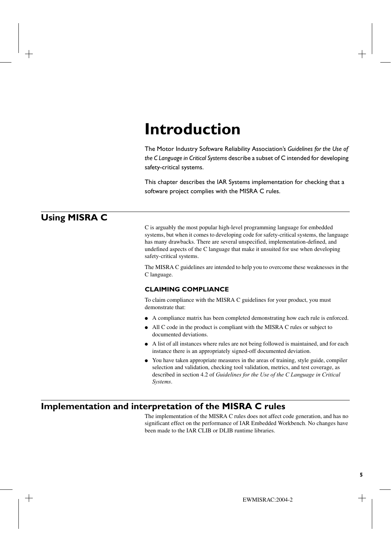# <span id="page-8-4"></span><span id="page-8-0"></span>**Introduction**

The Motor Industry Software Reliability Association's *Guidelines for the Use of the C Language in Critical Systems* describe a subset of C intended for developing safety-critical systems.

This chapter describes the IAR Systems implementation for checking that a software project complies with the MISRA C rules.

# <span id="page-8-1"></span>**Using MISRA C**

C is arguably the most popular high-level programming language for embedded systems, but when it comes to developing code for safety-critical systems, the language has many drawbacks. There are several unspecified, implementation-defined, and undefined aspects of the C language that make it unsuited for use when developing safety-critical systems.

The MISRA C guidelines are intended to help you to overcome these weaknesses in the C language.

## <span id="page-8-2"></span>**CLAIMING COMPLIANCE**

To claim compliance with the MISRA C guidelines for your product, you must demonstrate that:

- A compliance matrix has been completed demonstrating how each rule is enforced.
- All C code in the product is compliant with the MISRA C rules or subject to documented deviations.
- A list of all instances where rules are not being followed is maintained, and for each instance there is an appropriately signed-off documented deviation.
- You have taken appropriate measures in the areas of training, style guide, compiler selection and validation, checking tool validation, metrics, and test coverage, as described in section 4.2 of *Guidelines for the Use of the C Language in Critical Systems*.

# <span id="page-8-3"></span>**Implementation and interpretation of the MISRA C rules**

The implementation of the MISRA C rules does not affect code generation, and has no significant effect on the performance of IAR Embedded Workbench. No changes have been made to the IAR CLIB or DLIB runtime libraries.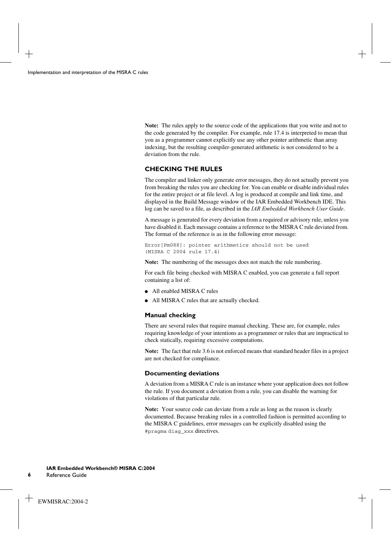**Note:** The rules apply to the source code of the applications that you write and not to the code generated by the compiler. For example, rule 17.4 is interpreted to mean that you as a programmer cannot explicitly use any other pointer arithmetic than array indexing, but the resulting compiler-generated arithmetic is not considered to be a deviation from the rule.

### <span id="page-9-0"></span>**CHECKING THE RULES**

The compiler and linker only generate error messages, they do not actually prevent you from breaking the rules you are checking for. You can enable or disable individual rules for the entire project or at file level. A log is produced at compile and link time, and displayed in the Build Message window of the IAR Embedded Workbench IDE. This log can be saved to a file, as described in the *IAR Embedded Workbench User Guide*.

A message is generated for every deviation from a required or advisory rule, unless you have disabled it. Each message contains a reference to the MISRA C rule deviated from. The format of the reference is as in the following error message:

Error[Pm088]: pointer arithmetics should not be used (MISRA C 2004 rule 17.4)

**Note:** The numbering of the messages does not match the rule numbering.

For each file being checked with MISRA C enabled, you can generate a full report containing a list of:

- All enabled MISRA C rules
- All MISRA C rules that are actually checked.

#### **Manual checking**

There are several rules that require manual checking. These are, for example, rules requiring knowledge of your intentions as a programmer or rules that are impractical to check statically, requiring excessive computations.

**Note:** The fact that rule 3.6 is not enforced means that standard header files in a project are not checked for compliance.

#### **Documenting deviations**

A deviation from a MISRA C rule is an instance where your application does not follow the rule. If you document a deviation from a rule, you can disable the warning for violations of that particular rule.

**Note:** Your source code can deviate from a rule as long as the reason is clearly documented. Because breaking rules in a controlled fashion is permitted according to the MISRA C guidelines, error messages can be explicitly disabled using the #pragma diag\_xxx directives.

**6**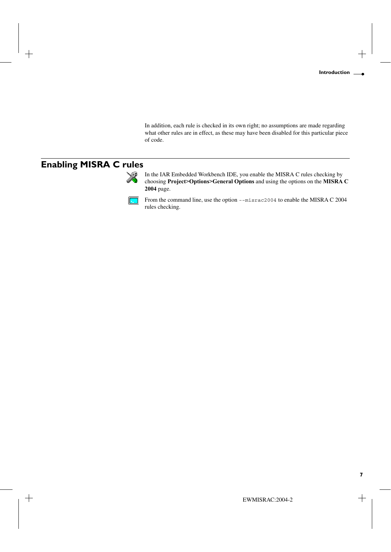In addition, each rule is checked in its own right; no assumptions are made regarding what other rules are in effect, as these may have been disabled for this particular piece of code.

# <span id="page-10-0"></span>**Enabling MISRA C rules**



In the IAR Embedded Workbench IDE, you enable the MISRA C rules checking by choosing **Project>Options>General Options** and using the options on the **MISRA C 2004** page.



From the command line, use the option --misrac2004 to enable the MISRA C 2004 rules checking.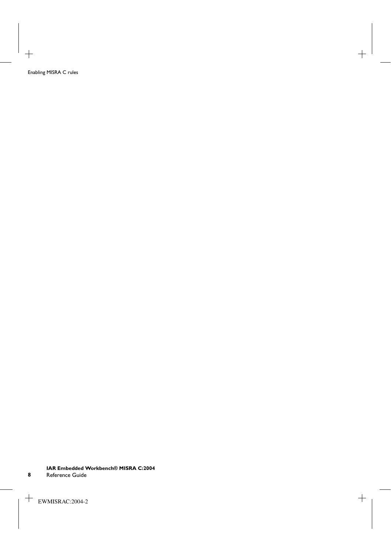Enabling MISRA C rules

**8**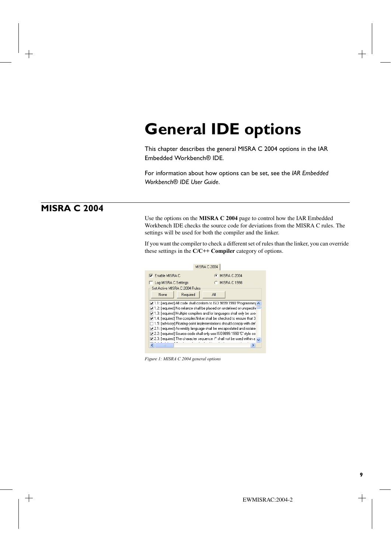# <span id="page-12-2"></span><span id="page-12-0"></span>**General IDE options**

This chapter describes the general MISRA C 2004 options in the IAR Embedded Workbench® IDE.

For information about how options can be set, see the *IAR Embedded Workbench® IDE User Guide*.

# <span id="page-12-1"></span>**MISRA C 2004**

Use the options on the **MISRA C 2004** page to control how the IAR Embedded Workbench IDE checks the source code for deviations from the MISRA C rules. The settings will be used for both the compiler and the linker.

If you want the compiler to check a different set of rules than the linker, you can override these settings in the **C/C++ Compiler** category of options.



*Figure 1: MISRA C 2004 general options*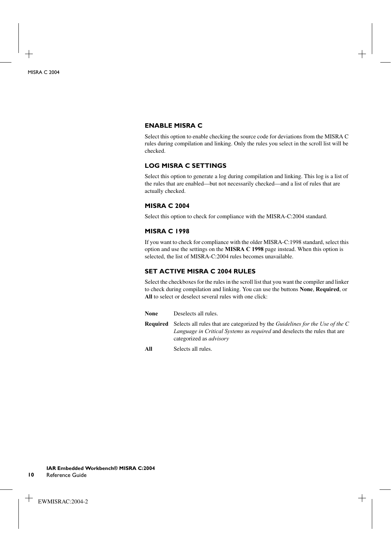### **ENABLE MISRA C**

Select this option to enable checking the source code for deviations from the MISRA C rules during compilation and linking. Only the rules you select in the scroll list will be checked.

#### **LOG MISRA C SETTINGS**

Select this option to generate a log during compilation and linking. This log is a list of the rules that are enabled—but not necessarily checked—and a list of rules that are actually checked.

#### **MISRA C 2004**

Select this option to check for compliance with the MISRA-C:2004 standard.

#### **MISRA C 1998**

If you want to check for compliance with the older MISRA-C:1998 standard, select this option and use the settings on the **MISRA C 1998** page instead. When this option is selected, the list of MISRA-C:2004 rules becomes unavailable.

## **SET ACTIVE MISRA C 2004 RULES**

Select the checkboxes for the rules in the scroll list that you want the compiler and linker to check during compilation and linking. You can use the buttons **None**, **Required**, or **All** to select or deselect several rules with one click:

- **None** Deselects all rules.
- **Required** Selects all rules that are categorized by the *Guidelines for the Use of the C Language in Critical Systems* as *required* and deselects the rules that are categorized as *advisory*
- **All** Selects all rules.

**10**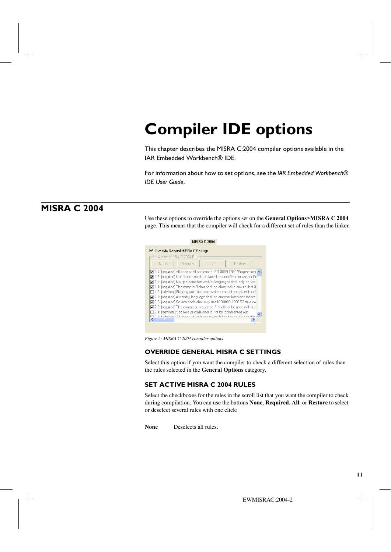# <span id="page-14-2"></span><span id="page-14-0"></span>**Compiler IDE options**

This chapter describes the MISRA C:2004 compiler options available in the IAR Embedded Workbench® IDE.

For information about how to set options, see the *IAR Embedded Workbench® IDE User Guide*.

# <span id="page-14-1"></span>**MISRA C 2004**

Use these options to override the options set on the **General Options>MISRA C 2004** page. This means that the compiler will check for a different set of rules than the linker.



*Figure 2: MISRA C 2004 compiler options*

### **OVERRIDE GENERAL MISRA C SETTINGS**

Select this option if you want the compiler to check a different selection of rules than the rules selected in the **General Options** category.

## **SET ACTIVE MISRA C 2004 RULES**

Select the checkboxes for the rules in the scroll list that you want the compiler to check during compilation. You can use the buttons **None**, **Required**, **All**, or **Restore** to select or deselect several rules with one click:

**None** Deselects all rules.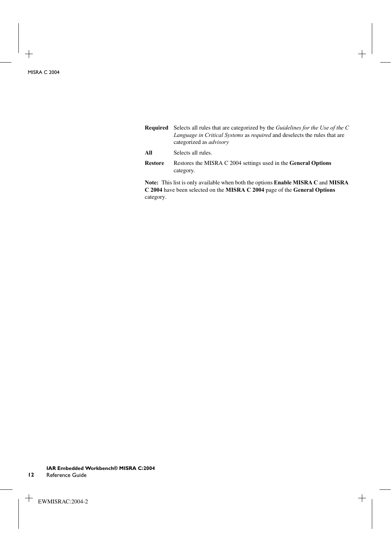| Reauired | Selects all rules that are categorized by the <i>Guidelines for the Use of the C</i>                        |
|----------|-------------------------------------------------------------------------------------------------------------|
|          | Language in Critical Systems as required and deselects the rules that are<br>categorized as <i>advisory</i> |
| All      | Selects all rules.                                                                                          |
| Restore  | Restores the MISRA C 2004 settings used in the <b>General Options</b><br>category.                          |

**Note:** This list is only available when both the options **Enable MISRA C** and **MISRA C 2004** have been selected on the **MISRA C 2004** page of the **General Options** category.

**12**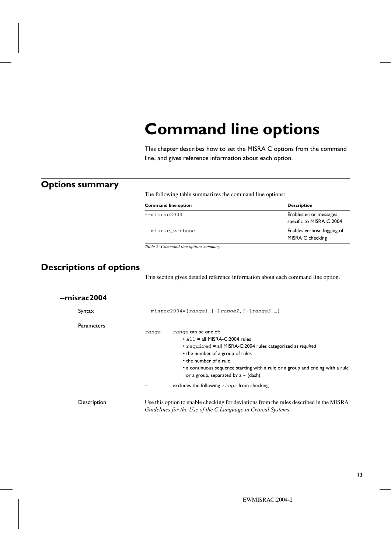# <span id="page-16-3"></span><span id="page-16-0"></span>**Command line options**

This chapter describes how to set the MISRA C options from the command line, and gives reference information about each option.

# <span id="page-16-1"></span>**Options summary**

The following table summarizes the command line options:

| <b>Command line option</b> | <b>Description</b>                                 |
|----------------------------|----------------------------------------------------|
| $--missrac2004$            | Enables error messages<br>specific to MISRA C 2004 |
| --misrac verbose           | Enables verbose logging of<br>MISRA C checking     |
|                            |                                                    |

*Table 2: Command line options summary*

# <span id="page-16-2"></span>**Descriptions of options**

This section gives detailed reference information about each command line option.

# **--misrac2004**

| Syntax            | $--misrac2004 = {range1, [\sim] range2, [\sim] range3, }$                                                                                                                                                                                                                                                                 |  |  |
|-------------------|---------------------------------------------------------------------------------------------------------------------------------------------------------------------------------------------------------------------------------------------------------------------------------------------------------------------------|--|--|
| <b>Parameters</b> | range can be one of:<br>range<br>• $a11$ = all MISRA-C:2004 rules<br>• required = all MISRA-C:2004 rules categorized as required<br>• the number of a group of rules<br>• the number of a rule<br>• a continuous sequence starting with a rule or a group and ending with a rule<br>or a group, separated by $a - (dash)$ |  |  |
|                   | excludes the following range from checking<br>$\tilde{\phantom{a}}$                                                                                                                                                                                                                                                       |  |  |
| Description       | Use this option to enable checking for deviations from the rules described in the MISRA<br>Guidelines for the Use of the C Language in Critical Systems.                                                                                                                                                                  |  |  |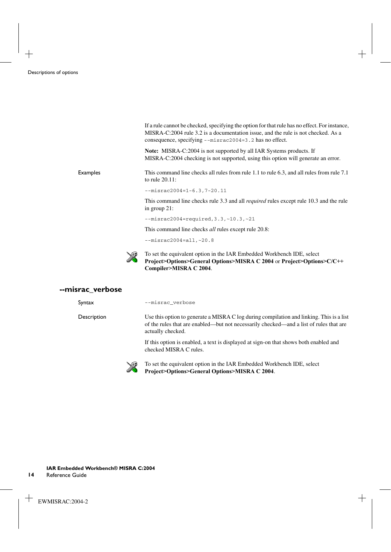|                 |       | MISRA-C:2004 rule 3.2 is a documentation issue, and the rule is not checked. As a<br>consequence, specifying $-$ misrac2004=3.2 has no effect.                  |
|-----------------|-------|-----------------------------------------------------------------------------------------------------------------------------------------------------------------|
|                 |       | <b>Note:</b> MISRA-C:2004 is not supported by all IAR Systems products. If<br>MISRA-C:2004 checking is not supported, using this option will generate an error. |
| <b>Examples</b> |       | This command line checks all rules from rule 1.1 to rule 6.3, and all rules from rule 7.1<br>to rule $20.11$ :                                                  |
|                 |       | $--missrac2004=1-6.3, 7-20.11$                                                                                                                                  |
|                 |       | This command line checks rule 3.3 and all <i>required</i> rules except rule 10.3 and the rule<br>in group $21$ :                                                |
|                 |       | $--missrac2004 = required, 3.3, -10.3, -21$                                                                                                                     |
|                 |       | This command line checks <i>all</i> rules except rule 20.8:                                                                                                     |
|                 |       | $--missrac2004=all,~20.8$                                                                                                                                       |
|                 | ∿िष्ट | To set the equivalent option in the IAR Embedded Workbench IDE, select                                                                                          |



To set the equivalent option in the IAR Embedded Workbench IDE, select **Project>Options>General Options>MISRA C 2004** or **Project>Options>C/C++ Compiler>MISRA C 2004**.

If a rule cannot be checked, specifying the option for that rule has no effect. For instance,

# **--misrac\_verbose**

Syntax -- misrac\_verbose

Description Use this option to generate a MISRA C log during compilation and linking. This is a list of the rules that are enabled—but not necessarily checked—and a list of rules that are actually checked.

> If this option is enabled, a text is displayed at sign-on that shows both enabled and checked MISRA C rules.



To set the equivalent option in the IAR Embedded Workbench IDE, select **Project>Options>General Options>MISRA C 2004**.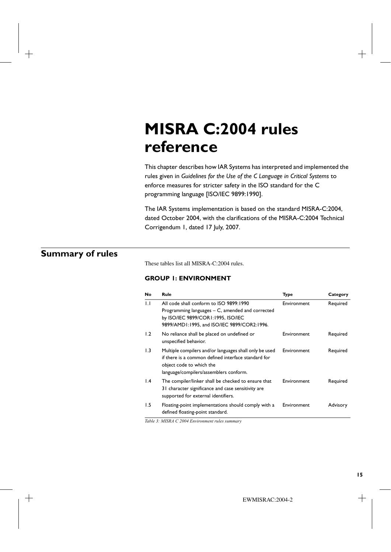# <span id="page-18-3"></span><span id="page-18-0"></span>**MISRA C:2004 rules reference**

This chapter describes how IAR Systems has interpreted and implemented the rules given in *Guidelines for the Use of the C Language in Critical Systems* to enforce measures for stricter safety in the ISO standard for the C programming language [ISO/IEC 9899:1990].

The IAR Systems implementation is based on the standard MISRA-C:2004, dated October 2004, with the clarifications of the MISRA-C:2004 Technical Corrigendum 1, dated 17 July, 2007.

# <span id="page-18-1"></span>**Summary of rules**

These tables list all MISRA-C:2004 rules.

## <span id="page-18-2"></span>**GROUP 1: ENVIRONMENT**

| No              | Rule                                                                                                                                                                                | Type        | Category |
|-----------------|-------------------------------------------------------------------------------------------------------------------------------------------------------------------------------------|-------------|----------|
| $\mathsf{L}$    | All code shall conform to ISO 9899:1990<br>Programming languages – C, amended and corrected<br>by ISO/IEC 9899/COR1:1995, ISO/IEC<br>9899/AMD1:1995, and ISO/IEC 9899/COR2:1996.    | Environment | Required |
| 1.2             | No reliance shall be placed on undefined or<br>unspecified behavior.                                                                                                                | Environment | Required |
| 1.3             | Multiple compilers and/or languages shall only be used<br>if there is a common defined interface standard for<br>object code to which the<br>language/compilers/assemblers conform. | Environment | Required |
| $\mathsf{I}$ .4 | The compiler/linker shall be checked to ensure that<br>31 character significance and case sensitivity are<br>supported for external identifiers.                                    | Environment | Required |
| 1.5             | Floating-point implementations should comply with a<br>defined floating-point standard.                                                                                             | Environment | Advisory |

*Table 3: MISRA C 2004 Environment rules summary*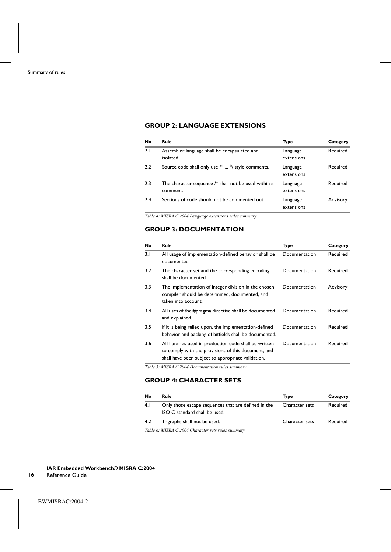## <span id="page-19-0"></span>**GROUP 2: LANGUAGE EXTENSIONS**

| No  | Rule                                                               | Type                   | Category |
|-----|--------------------------------------------------------------------|------------------------|----------|
| 2.1 | Assembler language shall be encapsulated and<br>isolated.          | Language<br>extensions | Required |
| 2.2 | Source code shall only use $/* \dots */$ style comments.           | Language<br>extensions | Required |
| 2.3 | The character sequence $/*$ shall not be used within a<br>comment. | Language<br>extensions | Required |
| 2.4 | Sections of code should not be commented out.                      | Language<br>extensions | Advisory |

*Table 4: MISRA C 2004 Language extensions rules summary*

## <span id="page-19-1"></span>**GROUP 3: DOCUMENTATION**

| No   | Rule                                                                                                                                                                | Type          | Category |
|------|---------------------------------------------------------------------------------------------------------------------------------------------------------------------|---------------|----------|
| 3. I | All usage of implementation-defined behavior shall be<br>documented.                                                                                                | Documentation | Required |
| 3.2  | The character set and the corresponding encoding<br>shall be documented.                                                                                            | Documentation | Required |
| 3.3  | The implementation of integer division in the chosen<br>compiler should be determined, documented, and<br>taken into account.                                       | Documentation | Advisory |
| 3.4  | All uses of the #pragma directive shall be documented<br>and explained.                                                                                             | Documentation | Required |
| 3.5  | If it is being relied upon, the implementation-defined<br>behavior and packing of bitfields shall be documented.                                                    | Documentation | Required |
| 3.6  | All libraries used in production code shall be written<br>to comply with the provisions of this document, and<br>shall have been subject to appropriate validation. | Documentation | Required |

*Table 5: MISRA C 2004 Documentation rules summary*

### <span id="page-19-2"></span>**GROUP 4: CHARACTER SETS**

| No  | Rule                                                                                 | Type           | Category |
|-----|--------------------------------------------------------------------------------------|----------------|----------|
| 4.1 | Only those escape sequences that are defined in the<br>ISO C standard shall be used. | Character sets | Reauired |
| 4.2 | Trigraphs shall not be used.                                                         | Character sets | Reauired |

*Table 6: MISRA C 2004 Character sets rules summary*

**16**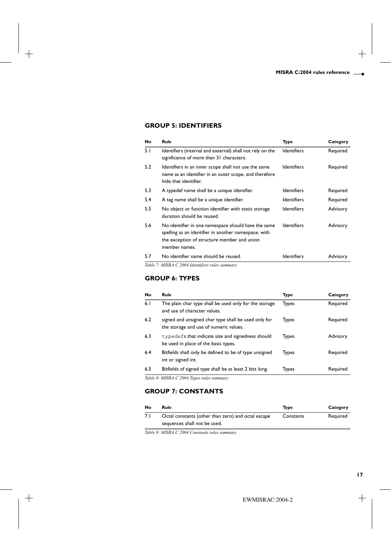## <span id="page-20-0"></span>**GROUP 5: IDENTIFIERS**

| No  | Rule                                                                                                                                                                        | Type               | Category |
|-----|-----------------------------------------------------------------------------------------------------------------------------------------------------------------------------|--------------------|----------|
| 5.1 | Identifiers (internal and external) shall not rely on the<br>significance of more than 31 characters.                                                                       | <b>Identifiers</b> | Required |
| 5.2 | Identifiers in an inner scope shall not use the same<br>name as an identifier in an outer scope, and therefore<br>hide that identifier.                                     | <b>Identifiers</b> | Required |
| 5.3 | A typedef name shall be a unique identifier.                                                                                                                                | <b>Identifiers</b> | Required |
| 5.4 | A tag name shall be a unique identifier.                                                                                                                                    | <b>Identifiers</b> | Required |
| 5.5 | No object or function identifier with static storage<br>duration should be reused.                                                                                          | <b>Identifiers</b> | Advisory |
| 5.6 | No identifier in one namespace should have the same<br>spelling as an identifier in another namespace, with<br>the exception of structure member and union<br>member names. | <b>Identifiers</b> | Advisory |
| 5.7 | No identifier name should be reused.                                                                                                                                        | <b>Identifiers</b> | Advisory |

*Table 7: MISRA C 2004 Identifiers rules summary*

# <span id="page-20-1"></span>**GROUP 6: TYPES**

| No  | Rule                                                                                           | Type  | Category |
|-----|------------------------------------------------------------------------------------------------|-------|----------|
| 6.1 | The plain char type shall be used only for the storage<br>and use of character values.         | Types | Required |
| 6.2 | signed and unsigned char type shall be used only for<br>the storage and use of numeric values. | Types | Required |
| 6.3 | typedefs that indicate size and signedness should<br>be used in place of the basic types.      | Types | Advisory |
| 6.4 | Bitfields shall only be defined to be of type unsigned<br>int or signed int.                   | Types | Required |
| 6.5 | Bitfields of signed type shall be at least 2 bits long.                                        | Types | Required |

*Table 8: MISRA C 2004 Types rules summary*

## <span id="page-20-2"></span>**GROUP 7: CONSTANTS**

| No | Rule                                               | Type      | Category |
|----|----------------------------------------------------|-----------|----------|
|    | Octal constants (other than zero) and octal escape | Constants | Reguired |
|    | sequences shall not be used.                       |           |          |

*Table 9: MISRA C 2004 Constants rules summary*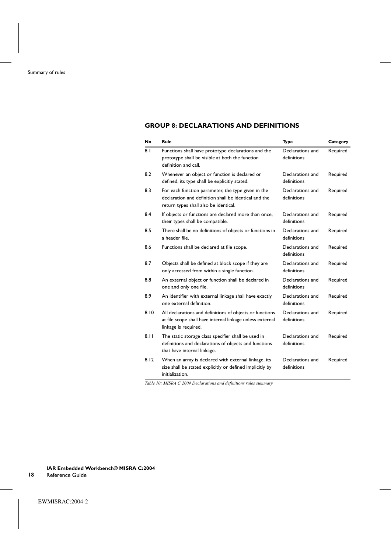| No   | Rule                                                                                                                                                 | <b>Type</b>                     | Category |
|------|------------------------------------------------------------------------------------------------------------------------------------------------------|---------------------------------|----------|
| 8.1  | Functions shall have prototype declarations and the<br>prototype shall be visible at both the function<br>definition and call.                       | Declarations and<br>definitions | Required |
| 8.2  | Whenever an object or function is declared or<br>defined, its type shall be explicitly stated.                                                       | Declarations and<br>definitions | Required |
| 8.3  | For each function parameter, the type given in the<br>declaration and definition shall be identical and the<br>return types shall also be identical. | Declarations and<br>definitions | Required |
| 8.4  | If objects or functions are declared more than once,<br>their types shall be compatible.                                                             | Declarations and<br>definitions | Required |
| 8.5  | There shall be no definitions of objects or functions in<br>a header file.                                                                           | Declarations and<br>definitions | Required |
| 8.6  | Functions shall be declared at file scope.                                                                                                           | Declarations and<br>definitions | Required |
| 8.7  | Objects shall be defined at block scope if they are<br>only accessed from within a single function.                                                  | Declarations and<br>definitions | Required |
| 8.8  | An external object or function shall be declared in<br>one and only one file.                                                                        | Declarations and<br>definitions | Required |
| 8.9  | An identifier with external linkage shall have exactly<br>one external definition.                                                                   | Declarations and<br>definitions | Required |
| 8.10 | All declarations and definitions of objects or functions<br>at file scope shall have internal linkage unless external<br>linkage is required.        | Declarations and<br>definitions | Required |
| 8.11 | The static storage class specifier shall be used in<br>definitions and declarations of objects and functions<br>that have internal linkage.          | Declarations and<br>definitions | Required |
| 8.12 | When an array is declared with external linkage, its<br>size shall be stated explicitly or defined implicitly by<br>initialization.                  | Declarations and<br>definitions | Required |

# <span id="page-21-0"></span>**GROUP 8: DECLARATIONS AND DEFINITIONS**

*Table 10: MISRA C 2004 Declarations and definitions rules summary*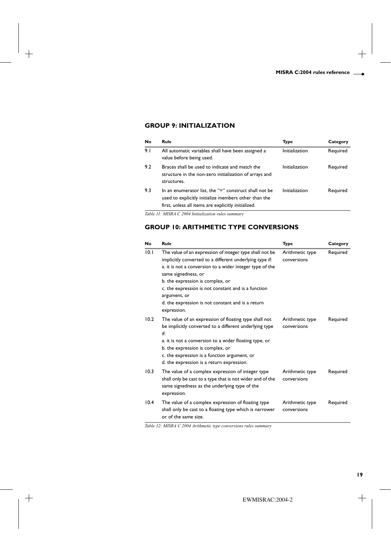# <span id="page-22-0"></span>**GROUP 9: INITIALIZATION**

| <b>No</b> | Rule                                                                                                                                                                 | <b>Type</b>    | Category |
|-----------|----------------------------------------------------------------------------------------------------------------------------------------------------------------------|----------------|----------|
| 9.1       | All automatic variables shall have been assigned a<br>value before being used.                                                                                       | Initialization | Required |
| 9.2       | Braces shall be used to indicate and match the<br>structure in the non-zero initialization of arrays and<br>structures.                                              | Initialization | Required |
| 9.3       | In an enumerator list, the "=" construct shall not be<br>used to explicitly initialize members other than the<br>first, unless all items are explicitly initialized. | Initialization | Required |

*Table 11: MISRA C 2004 Initialization rules summary*

# <span id="page-22-1"></span>**GROUP 10: ARITHMETIC TYPE CONVERSIONS**

| No   | Rule                                                                                                                                                                                                                                                                                                                                                                                 | <b>Type</b>                    | Category |
|------|--------------------------------------------------------------------------------------------------------------------------------------------------------------------------------------------------------------------------------------------------------------------------------------------------------------------------------------------------------------------------------------|--------------------------------|----------|
| 10.1 | The value of an expression of integer type shall not be<br>implicitly converted to a different underlying type if:<br>a. it is not a conversion to a wider integer type of the<br>same signedness, or<br>b. the expression is complex, or<br>c. the expression is not constant and is a function<br>argument, or<br>d. the expression is not constant and is a return<br>expression. | Arithmetic type<br>conversions | Required |
| 10.2 | The value of an expression of floating type shall not<br>be implicitly converted to a different underlying type<br>if<br>a. it is not a conversion to a wider floating type, or<br>b. the expression is complex, or<br>c. the expression is a function argument, or<br>d. the expression is a return expression.                                                                     | Arithmetic type<br>conversions | Reguired |
| 10.3 | The value of a complex expression of integer type<br>shall only be cast to a type that is not wider and of the<br>same signedness as the underlying type of the<br>expression.                                                                                                                                                                                                       | Arithmetic type<br>conversions | Required |
| 10.4 | The value of a complex expression of floating type<br>shall only be cast to a floating type which is narrower<br>or of the same size.                                                                                                                                                                                                                                                | Arithmetic type<br>conversions | Required |

*Table 12: MISRA C 2004 Arithmetic type conversions rules summary*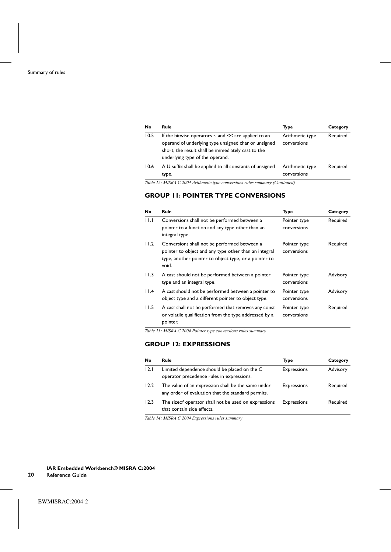| <b>No</b> | Rule                                                                                                                                                                                                        | Type                           | Category |
|-----------|-------------------------------------------------------------------------------------------------------------------------------------------------------------------------------------------------------------|--------------------------------|----------|
| 10.5      | If the bitwise operators $\sim$ and $<<$ are applied to an<br>operand of underlying type unsigned char or unsigned<br>short, the result shall be immediately cast to the<br>underlying type of the operand. | Arithmetic type<br>conversions | Required |
| 10.6      | A U suffix shall be applied to all constants of unsigned<br>type.                                                                                                                                           | Arithmetic type<br>conversions | Required |

*Table 12: MISRA C 2004 Arithmetic type conversions rules summary (Continued)*

## <span id="page-23-0"></span>**GROUP 11: POINTER TYPE CONVERSIONS**

| No   | Rule                                                                                                                                                                    | Type                        | Category |
|------|-------------------------------------------------------------------------------------------------------------------------------------------------------------------------|-----------------------------|----------|
| ПJ   | Conversions shall not be performed between a<br>pointer to a function and any type other than an<br>integral type.                                                      | Pointer type<br>conversions | Required |
| 11.2 | Conversions shall not be performed between a<br>pointer to object and any type other than an integral<br>type, another pointer to object type, or a pointer to<br>void. | Pointer type<br>conversions | Required |
| 11.3 | A cast should not be performed between a pointer<br>type and an integral type.                                                                                          | Pointer type<br>conversions | Advisory |
| 11.4 | A cast should not be performed between a pointer to<br>object type and a different pointer to object type.                                                              | Pointer type<br>conversions | Advisory |
| 11.5 | A cast shall not be performed that removes any const<br>or volatile qualification from the type addressed by a<br>pointer.                                              | Pointer type<br>conversions | Required |

*Table 13: MISRA C 2004 Pointer type conversions rules summary*

# <span id="page-23-1"></span>**GROUP 12: EXPRESSIONS**

| No   | Rule                                                                                                     | Type               | Category |
|------|----------------------------------------------------------------------------------------------------------|--------------------|----------|
| 12.1 | Limited dependence should be placed on the C<br>operator precedence rules in expressions.                | <b>Expressions</b> | Advisory |
| 12.2 | The value of an expression shall be the same under<br>any order of evaluation that the standard permits. | <b>Expressions</b> | Required |
| 12.3 | The sizeof operator shall not be used on expressions<br>that contain side effects.                       | <b>Expressions</b> | Required |

*Table 14: MISRA C 2004 Expressions rules summary*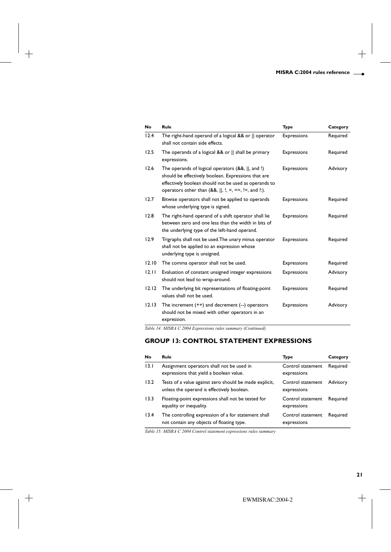| <b>No</b> | Rule                                                                                                                                                                                                                        | <b>Type</b>        | Category |
|-----------|-----------------------------------------------------------------------------------------------------------------------------------------------------------------------------------------------------------------------------|--------------------|----------|
| 12.4      | The right-hand operand of a logical && or    operator<br>shall not contain side effects.                                                                                                                                    | <b>Expressions</b> | Required |
| 12.5      | The operands of a logical $& 8$ or $  $ shall be primary<br>expressions.                                                                                                                                                    | <b>Expressions</b> | Required |
| 12.6      | The operands of logical operators (&&,   , and !)<br>should be effectively boolean. Expressions that are<br>effectively boolean should not be used as operands to<br>operators other than $(8.8,   , !, =, ==, !=, and ?).$ | <b>Expressions</b> | Advisory |
| 12.7      | Bitwise operators shall not be applied to operands<br>whose underlying type is signed.                                                                                                                                      | <b>Expressions</b> | Required |
| 12.8      | The right-hand operand of a shift operator shall lie<br>between zero and one less than the width in bits of<br>the underlying type of the left-hand operand.                                                                | <b>Expressions</b> | Required |
| 12.9      | Trigraphs shall not be used. The unary minus operator<br>shall not be applied to an expression whose<br>underlying type is unsigned.                                                                                        | <b>Expressions</b> | Required |
| 12.10     | The comma operator shall not be used.                                                                                                                                                                                       | <b>Expressions</b> | Required |
| 12.11     | Evaluation of constant unsigned integer expressions<br>should not lead to wrap-around.                                                                                                                                      | <b>Expressions</b> | Advisory |
| 12.12     | The underlying bit representations of floating-point<br>values shall not be used.                                                                                                                                           | <b>Expressions</b> | Required |
| 12.13     | The increment $(++)$ and decrement $(-)$ operators<br>should not be mixed with other operators in an<br>expression.                                                                                                         | <b>Expressions</b> | Advisory |

*Table 14: MISRA C 2004 Expressions rules summary (Continued)*

## <span id="page-24-0"></span>**GROUP 13: CONTROL STATEMENT EXPRESSIONS**

| No   | Rule                                                                                                 | Type                             | Category |
|------|------------------------------------------------------------------------------------------------------|----------------------------------|----------|
| 13.1 | Assignment operators shall not be used in<br>expressions that yield a boolean value.                 | Control statement<br>expressions | Required |
| 13.2 | Tests of a value against zero should be made explicit,<br>unless the operand is effectively boolean. | Control statement<br>expressions | Advisory |
| 13.3 | Floating-point expressions shall not be tested for<br>equality or inequality.                        | Control statement<br>expressions | Required |
| 13.4 | The controlling expression of a for statement shall<br>not contain any objects of floating type.     | Control statement<br>expressions | Required |

*Table 15: MISRA C 2004 Control statement expressions rules summary*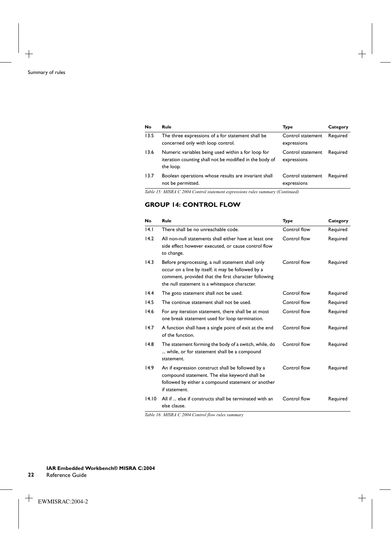| <b>No</b> | Rule                                                                                                                       | Type                             | Category |
|-----------|----------------------------------------------------------------------------------------------------------------------------|----------------------------------|----------|
| 13.5      | The three expressions of a for statement shall be<br>concerned only with loop control.                                     | Control statement<br>expressions | Required |
| 13.6      | Numeric variables being used within a for loop for<br>iteration counting shall not be modified in the body of<br>the loop. | Control statement<br>expressions | Required |
| 13.7      | Boolean operations whose results are invariant shall<br>not be permitted.                                                  | Control statement<br>expressions | Required |

*Table 15: MISRA C 2004 Control statement expressions rules summary (Continued)*

# <span id="page-25-0"></span>**GROUP 14: CONTROL FLOW**

| No    | <b>Rule</b>                                                                                                                                                                                                      | Type         | Category |
|-------|------------------------------------------------------------------------------------------------------------------------------------------------------------------------------------------------------------------|--------------|----------|
| 4.1   | There shall be no unreachable code.                                                                                                                                                                              | Control flow | Required |
| 14.2  | All non-null statements shall either have at least one<br>side effect however executed, or cause control flow<br>to change.                                                                                      | Control flow | Required |
| 14.3  | Before preprocessing, a null statement shall only<br>occur on a line by itself; it may be followed by a<br>comment, provided that the first character following<br>the null statement is a whitespace character. | Control flow | Required |
| 14.4  | The goto statement shall not be used.                                                                                                                                                                            | Control flow | Required |
| 14.5  | The continue statement shall not be used.                                                                                                                                                                        | Control flow | Required |
| 14.6  | For any iteration statement, there shall be at most<br>one break statement used for loop termination.                                                                                                            | Control flow | Required |
| 14.7  | A function shall have a single point of exit at the end<br>of the function.                                                                                                                                      | Control flow | Required |
| 14.8  | The statement forming the body of a switch, while, do<br>while, or for statement shall be a compound<br>statement.                                                                                               | Control flow | Required |
| 14.9  | An if expression construct shall be followed by a<br>compound statement. The else keyword shall be<br>followed by either a compound statement or another<br>if statement.                                        | Control flow | Required |
| 14.10 | All if  else if constructs shall be terminated with an<br>else clause.                                                                                                                                           | Control flow | Reguired |

*Table 16: MISRA C 2004 Control flow rules summary*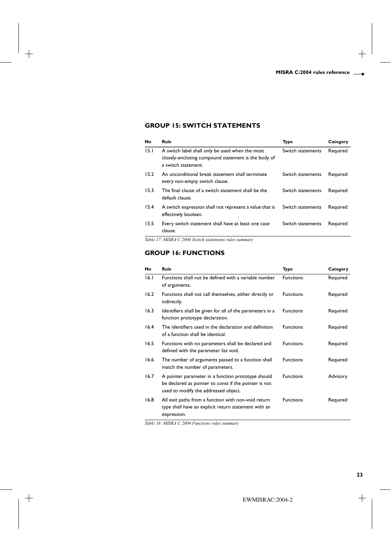| No   | Rule                                                                                                                          | Type              | Category |
|------|-------------------------------------------------------------------------------------------------------------------------------|-------------------|----------|
| 15.1 | A switch label shall only be used when the most<br>closely-enclosing compound statement is the body of<br>a switch statement. | Switch statements | Required |
| 15.2 | An unconditional break statement shall terminate<br>every non-empty switch clause.                                            | Switch statements | Required |
| 15.3 | The final clause of a switch statement shall be the<br>default clause.                                                        | Switch statements | Required |
| 15.4 | A switch expression shall not represent a value that is<br>effectively boolean.                                               | Switch statements | Required |
| 15.5 | Every switch statement shall have at least one case<br>clause.                                                                | Switch statements | Reguired |

## <span id="page-26-0"></span>**GROUP 15: SWITCH STATEMENTS**

*Table 17: MISRA C 2004 Switch statements rules summary*

# <span id="page-26-1"></span>**GROUP 16: FUNCTIONS**

| No   | Rule                                                                                                                                                | Type             | Category |
|------|-----------------------------------------------------------------------------------------------------------------------------------------------------|------------------|----------|
| 16.1 | Functions shall not be defined with a variable number<br>of arguments.                                                                              | <b>Functions</b> | Required |
| 16.2 | Functions shall not call themselves, either directly or<br>indirectly.                                                                              | <b>Functions</b> | Required |
| 16.3 | Identifiers shall be given for all of the parameters in a<br>function prototype declaration.                                                        | <b>Functions</b> | Required |
| 16.4 | The identifiers used in the declaration and definition<br>of a function shall be identical.                                                         | <b>Functions</b> | Required |
| 16.5 | Functions with no parameters shall be declared and<br>defined with the parameter list void.                                                         | <b>Functions</b> | Required |
| 16.6 | The number of arguments passed to a function shall<br>match the number of parameters.                                                               | <b>Functions</b> | Required |
| 16.7 | A pointer parameter in a function prototype should<br>be declared as pointer to const if the pointer is not<br>used to modify the addressed object. | <b>Functions</b> | Advisory |
| 16.8 | All exit paths from a function with non-void return<br>type shall have an explicit return statement with an<br>expression.                          | <b>Functions</b> | Required |

*Table 18: MISRA C 2004 Functions rules summary*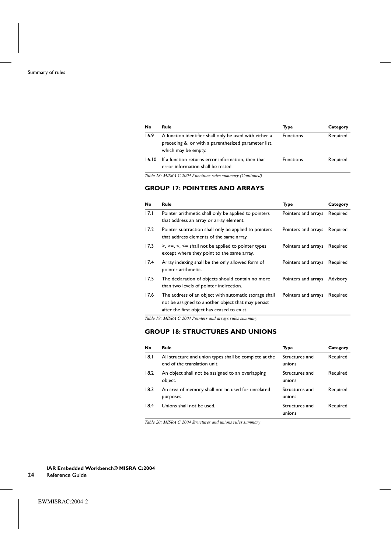| No    | Rule                                                                                                                                  | Type             | Category |
|-------|---------------------------------------------------------------------------------------------------------------------------------------|------------------|----------|
| 16.9  | A function identifier shall only be used with either a<br>preceding &, or with a parenthesized parameter list,<br>which may be empty. | <b>Functions</b> | Required |
| 16.10 | If a function returns error information, then that<br>error information shall be tested.                                              | <b>Functions</b> | Required |

*Table 18: MISRA C 2004 Functions rules summary (Continued)*

## <span id="page-27-0"></span>**GROUP 17: POINTERS AND ARRAYS**

| No   | Rule                                                                                                                                                       | Type                | Category |
|------|------------------------------------------------------------------------------------------------------------------------------------------------------------|---------------------|----------|
| 17.1 | Pointer arithmetic shall only be applied to pointers<br>that address an array or array element.                                                            | Pointers and arrays | Required |
| 17.2 | Pointer subtraction shall only be applied to pointers<br>that address elements of the same array.                                                          | Pointers and arrays | Reguired |
| 17.3 | $>$ , $>$ =, $<$ , $<$ = shall not be applied to pointer types<br>except where they point to the same array.                                               | Pointers and arrays | Reguired |
| 17.4 | Array indexing shall be the only allowed form of<br>pointer arithmetic.                                                                                    | Pointers and arrays | Reguired |
| 17.5 | The declaration of objects should contain no more<br>than two levels of pointer indirection.                                                               | Pointers and arrays | Advisory |
| 17.6 | The address of an object with automatic storage shall<br>not be assigned to another object that may persist<br>after the first object has ceased to exist. | Pointers and arrays | Required |

*Table 19: MISRA C 2004 Pointers and arrays rules summary*

# <span id="page-27-1"></span>**GROUP 18: STRUCTURES AND UNIONS**

| No   | Rule                                                                                   | Type                     | Category |
|------|----------------------------------------------------------------------------------------|--------------------------|----------|
| 18.1 | All structure and union types shall be complete at the<br>end of the translation unit. | Structures and<br>unions | Required |
| 18.2 | An object shall not be assigned to an overlapping<br>object.                           | Structures and<br>unions | Required |
| 18.3 | An area of memory shall not be used for unrelated<br>purposes.                         | Structures and<br>unions | Required |
| 18.4 | Unions shall not be used.                                                              | Structures and<br>unions | Required |

*Table 20: MISRA C 2004 Structures and unions rules summary*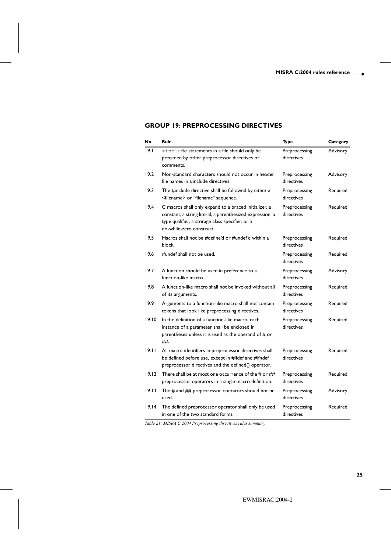| No    | Rule                                                                                                                                                                                              | <b>Type</b>                             | Category |
|-------|---------------------------------------------------------------------------------------------------------------------------------------------------------------------------------------------------|-----------------------------------------|----------|
| 19.1  | #include statements in a file should only be<br>Preprocessing<br>directives<br>preceded by other preprocessor directives or<br>comments.                                                          |                                         | Advisory |
| 19.2  | Non-standard characters should not occur in header<br>file names in #include directives.                                                                                                          | Preprocessing<br>directives             | Advisory |
| 19.3  | The #include directive shall be followed by either a<br><filename> or "filename" sequence.</filename>                                                                                             | Preprocessing<br>directives             | Required |
| 19.4  | C macros shall only expand to a braced initializer, a<br>constant, a string literal, a parenthesized expression, a<br>type qualifier, a storage class specifier, or a<br>do-while-zero construct. | Preprocessing<br>Required<br>directives |          |
| 19.5  | Macros shall not be #define'd or #undef'd within a<br>block.                                                                                                                                      | Preprocessing<br>directives             | Required |
| 19.6  | #undef shall not be used.                                                                                                                                                                         | Preprocessing<br>directives             | Required |
| 19.7  | A function should be used in preference to a<br>function-like macro.                                                                                                                              | Preprocessing<br>directives             | Advisory |
| 19.8  | A function-like macro shall not be invoked without all<br>of its arguments.                                                                                                                       | Preprocessing<br>directives             | Required |
| 19.9  | Arguments to a function-like macro shall not contain<br>tokens that look like preprocessing directives.                                                                                           | Preprocessing<br>directives             | Required |
| 19.10 | In the definition of a function-like macro, each<br>instance of a parameter shall be enclosed in<br>parentheses unless it is used as the operand of $#$ or<br>##.                                 | Preprocessing<br>directives             | Required |
| 19.11 | All macro identifiers in preprocessor directives shall<br>be defined before use, except in #ifdef and #ifndef<br>preprocessor directives and the defined() operator.                              | Preprocessing<br>directives             | Required |
| 19.12 | There shall be at most one occurrence of the # or ##<br>preprocessor operators in a single macro definition.                                                                                      | Preprocessing<br>directives             | Required |
| 19.13 | The $#$ and $##$ preprocessor operators should not be<br>used.                                                                                                                                    | Preprocessing<br>directives             | Advisory |
| 19.14 | The defined preprocessor operator shall only be used<br>in one of the two standard forms.                                                                                                         | Preprocessing<br>directives             | Required |

# <span id="page-28-0"></span>**GROUP 19: PREPROCESSING DIRECTIVES**

*Table 21: MISRA C 2004 Preprocessing directives rules summary*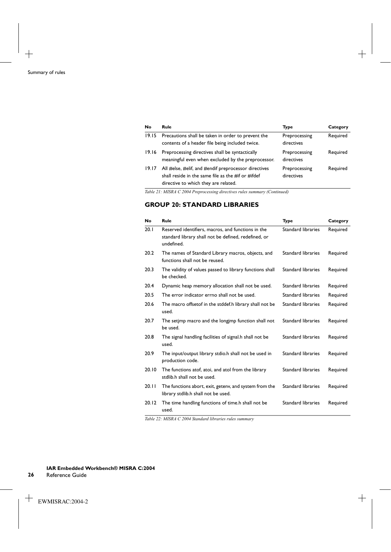| No    | Rule                                                                                                                                               | Type                        | Category |
|-------|----------------------------------------------------------------------------------------------------------------------------------------------------|-----------------------------|----------|
| 19.15 | Precautions shall be taken in order to prevent the<br>contents of a header file being included twice.                                              | Preprocessing<br>directives | Required |
| 19.16 | Preprocessing directives shall be syntactically<br>meaningful even when excluded by the preprocessor.                                              | Preprocessing<br>directives | Required |
| 19.17 | All #else, #elif, and #endif preprocessor directives<br>shall reside in the same file as the #if or #ifdef<br>directive to which they are related. | Preprocessing<br>directives | Required |

*Table 21: MISRA C 2004 Preprocessing directives rules summary (Continued)*

# <span id="page-29-0"></span>**GROUP 20: STANDARD LIBRARIES**

| <b>No</b> | Rule                                                                                                                     | <b>Type</b>               | Category |
|-----------|--------------------------------------------------------------------------------------------------------------------------|---------------------------|----------|
| 20.1      | Reserved identifiers, macros, and functions in the<br>standard library shall not be defined, redefined, or<br>undefined. | <b>Standard libraries</b> | Required |
| 20.2      | The names of Standard Library macros, objects, and<br>functions shall not be reused.                                     | <b>Standard libraries</b> | Required |
| 20.3      | The validity of values passed to library functions shall<br>be checked.                                                  | <b>Standard libraries</b> | Required |
| 20.4      | Dynamic heap memory allocation shall not be used.                                                                        | Standard libraries        | Required |
| 20.5      | The error indicator errno shall not be used.                                                                             | <b>Standard libraries</b> | Required |
| 20.6      | The macro offsetof in the stddef.h library shall not be<br>used.                                                         | <b>Standard libraries</b> | Required |
| 20.7      | The setimp macro and the longimp function shall not<br>be used.                                                          | <b>Standard libraries</b> | Required |
| 20.8      | The signal handling facilities of signal.h shall not be<br>used.                                                         | <b>Standard libraries</b> | Required |
| 20.9      | The input/output library stdio.h shall not be used in<br>production code.                                                | <b>Standard libraries</b> | Required |
| 20.10     | The functions atof, atoi, and atol from the library<br>stdlib.h shall not be used.                                       | <b>Standard libraries</b> | Required |
| 20.11     | The functions abort, exit, geteny, and system from the<br>library stdlib.h shall not be used.                            | <b>Standard libraries</b> | Required |
| 20.12     | The time handling functions of time.h shall not be<br>used.                                                              | Standard libraries        | Required |

*Table 22: MISRA C 2004 Standard libraries rules summary*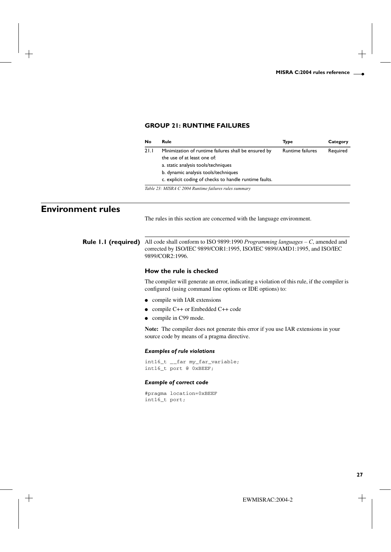<span id="page-30-1"></span>

|                          | No   | Rule                                                                                                                                                                                 | <b>Type</b>             | Category |
|--------------------------|------|--------------------------------------------------------------------------------------------------------------------------------------------------------------------------------------|-------------------------|----------|
|                          | 21.1 | Minimization of runtime failures shall be ensured by                                                                                                                                 | <b>Runtime failures</b> | Required |
|                          |      | the use of at least one of:                                                                                                                                                          |                         |          |
|                          |      | a. static analysis tools/techniques                                                                                                                                                  |                         |          |
|                          |      | b. dynamic analysis tools/techniques                                                                                                                                                 |                         |          |
|                          |      | c. explicit coding of checks to handle runtime faults.                                                                                                                               |                         |          |
|                          |      | Table 23: MISRA C 2004 Runtime failures rules summary                                                                                                                                |                         |          |
| <b>Environment rules</b> |      | The rules in this section are concerned with the language environment.                                                                                                               |                         |          |
|                          |      |                                                                                                                                                                                      |                         |          |
| Rule I.I (required)      |      | All code shall conform to ISO 9899:1990 <i>Programming languages</i> – C, amended and<br>corrected by ISO/IEC 9899/COR1:1995, ISO/IEC 9899/AMD1:1995, and ISO/IEC<br>9899/COR2:1996. |                         |          |
|                          |      | How the rule is checked                                                                                                                                                              |                         |          |
|                          |      | The compiler will generate an error, indicating a violation of this rule, if the compiler is<br>configured (using command line options or IDE options) to:                           |                         |          |
|                          |      | • compile with IAR extensions                                                                                                                                                        |                         |          |
|                          |      | • compile $C++$ or Embedded $C++$ code                                                                                                                                               |                         |          |
|                          |      | • compile in C99 mode.                                                                                                                                                               |                         |          |
|                          |      |                                                                                                                                                                                      |                         |          |
|                          |      | Note: The compiler does not generate this error if you use IAR extensions in your<br>source code by means of a pragma directive.                                                     |                         |          |
|                          |      | <b>Examples of rule violations</b>                                                                                                                                                   |                         |          |
|                          |      | int16_t __far my_far_variable;<br>int16_t port @ 0xBEEF;                                                                                                                             |                         |          |
|                          |      | <b>Example of correct code</b>                                                                                                                                                       |                         |          |
|                          |      | #pragma location=0xBEEF<br>$int16_t$ port;                                                                                                                                           |                         |          |
|                          |      |                                                                                                                                                                                      |                         |          |

# <span id="page-30-2"></span><span id="page-30-0"></span>**GROUP 21: RUNTIME FAILURES**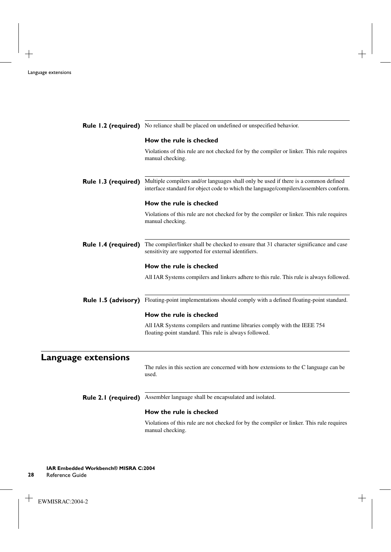<span id="page-31-3"></span><span id="page-31-2"></span><span id="page-31-1"></span>

|                     | <b>Rule 1.2 (required)</b> No reliance shall be placed on undefined or unspecified behavior.                                                                                  |
|---------------------|-------------------------------------------------------------------------------------------------------------------------------------------------------------------------------|
|                     | How the rule is checked                                                                                                                                                       |
|                     | Violations of this rule are not checked for by the compiler or linker. This rule requires<br>manual checking.                                                                 |
| Rule 1.3 (required) | Multiple compilers and/or languages shall only be used if there is a common defined<br>interface standard for object code to which the language/compilers/assemblers conform. |
|                     | How the rule is checked                                                                                                                                                       |
|                     | Violations of this rule are not checked for by the compiler or linker. This rule requires<br>manual checking.                                                                 |
| Rule 1.4 (required) | The compiler/linker shall be checked to ensure that 31 character significance and case<br>sensitivity are supported for external identifiers.                                 |
|                     | How the rule is checked                                                                                                                                                       |
|                     | All IAR Systems compilers and linkers adhere to this rule. This rule is always followed.                                                                                      |
| Rule 1.5 (advisory) | Floating-point implementations should comply with a defined floating-point standard.                                                                                          |
|                     | How the rule is checked                                                                                                                                                       |
|                     | All IAR Systems compilers and runtime libraries comply with the IEEE 754<br>floating-point standard. This rule is always followed.                                            |
| Language extensions |                                                                                                                                                                               |
|                     | The rules in this section are concerned with how extensions to the C language can be<br>used.                                                                                 |
|                     |                                                                                                                                                                               |

<span id="page-31-0"></span>**Rule 2.1 (required)** Assembler language shall be encapsulated and isolated.

### <span id="page-31-5"></span><span id="page-31-4"></span>**How the rule is checked**

Violations of this rule are not checked for by the compiler or linker. This rule requires manual checking.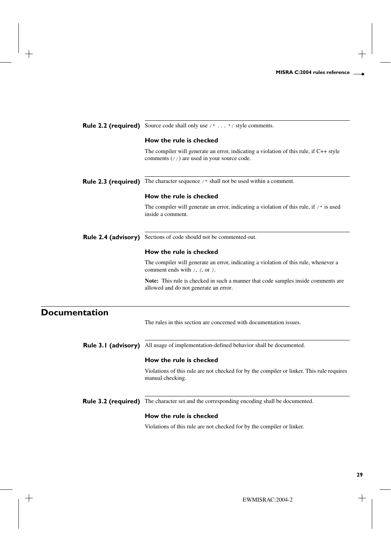<span id="page-32-5"></span><span id="page-32-4"></span><span id="page-32-3"></span><span id="page-32-2"></span><span id="page-32-1"></span><span id="page-32-0"></span>

|                      | <b>Rule 2.2 (required)</b> Source code shall only use $/* \ldots */$ style comments.                                                                          |
|----------------------|---------------------------------------------------------------------------------------------------------------------------------------------------------------|
|                      | How the rule is checked                                                                                                                                       |
|                      | The compiler will generate an error, indicating a violation of this rule, if $C++$ style<br>comments $\left(\frac{7}{2}\right)$ are used in your source code. |
|                      | <b>Rule 2.3 (required)</b> The character sequence /* shall not be used within a comment.                                                                      |
|                      | <b>How the rule is checked</b>                                                                                                                                |
|                      | The compiler will generate an error, indicating a violation of this rule, if $\prime *$ is used<br>inside a comment.                                          |
| Rule 2.4 (advisory)  | Sections of code should not be commented out.                                                                                                                 |
|                      | How the rule is checked                                                                                                                                       |
|                      | The compiler will generate an error, indicating a violation of this rule, whenever a<br>comment ends with $\tau$ , $\zeta$ , or $\zeta$ .                     |
|                      | Note: This rule is checked in such a manner that code samples inside comments are<br>allowed and do not generate an error.                                    |
| <b>Documentation</b> |                                                                                                                                                               |
|                      | The rules in this section are concerned with documentation issues.                                                                                            |
|                      | Rule 3.1 (advisory) All usage of implementation-defined behavior shall be documented.                                                                         |
|                      | How the rule is checked                                                                                                                                       |
|                      | Violations of this rule are not checked for by the compiler or linker. This rule requires<br>manual checking.                                                 |
|                      | Rule 3.2 (required) The character set and the corresponding encoding shall be documented.                                                                     |
|                      | How the rule is checked                                                                                                                                       |
|                      | Violations of this rule are not checked for by the compiler or linker.                                                                                        |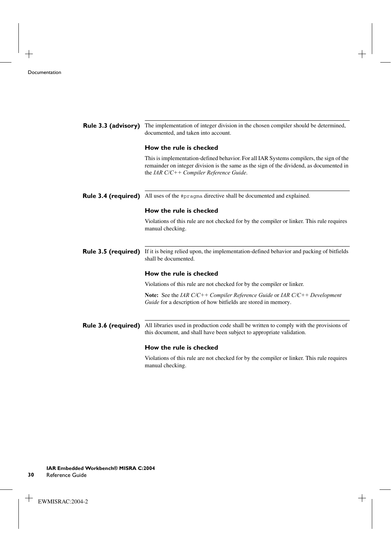<span id="page-33-3"></span><span id="page-33-2"></span><span id="page-33-1"></span><span id="page-33-0"></span>

| Rule 3.3 (advisory)        | The implementation of integer division in the chosen compiler should be determined,<br>documented, and taken into account.                                                                                                      |
|----------------------------|---------------------------------------------------------------------------------------------------------------------------------------------------------------------------------------------------------------------------------|
|                            | How the rule is checked                                                                                                                                                                                                         |
|                            | This is implementation-defined behavior. For all IAR Systems compilers, the sign of the<br>remainder on integer division is the same as the sign of the dividend, as documented in<br>the IAR $C/C++$ Compiler Reference Guide. |
|                            | Rule 3.4 (required) All uses of the #pragma directive shall be documented and explained.                                                                                                                                        |
|                            | How the rule is checked                                                                                                                                                                                                         |
|                            | Violations of this rule are not checked for by the compiler or linker. This rule requires<br>manual checking.                                                                                                                   |
| <b>Rule 3.5 (required)</b> | If it is being relied upon, the implementation-defined behavior and packing of bitfields<br>shall be documented.                                                                                                                |
|                            | How the rule is checked                                                                                                                                                                                                         |
|                            | Violations of this rule are not checked for by the compiler or linker.                                                                                                                                                          |
|                            | <b>Note:</b> See the <i>IAR C/C++ Compiler Reference Guide</i> or <i>IAR C/C++ Development</i><br>Guide for a description of how bitfields are stored in memory.                                                                |
| <b>Rule 3.6 (required)</b> | All libraries used in production code shall be written to comply with the provisions of<br>this document, and shall have been subject to appropriate validation.                                                                |
|                            | How the rule is checked                                                                                                                                                                                                         |
|                            | Violations of this rule are not checked for by the compiler or linker. This rule requires<br>manual checking.                                                                                                                   |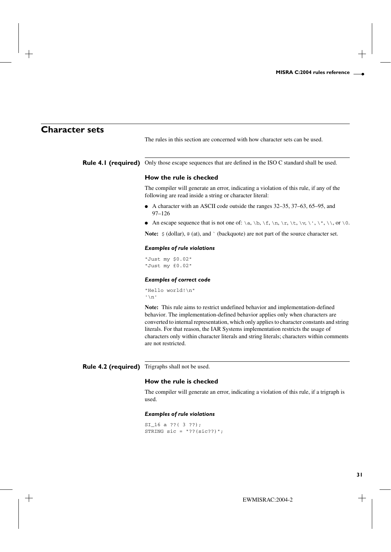<span id="page-34-1"></span><span id="page-34-0"></span>

| <b>Character sets</b> | The rules in this section are concerned with how character sets can be used.                                                                                                                                                                                                                                                                                                                                                                                           |
|-----------------------|------------------------------------------------------------------------------------------------------------------------------------------------------------------------------------------------------------------------------------------------------------------------------------------------------------------------------------------------------------------------------------------------------------------------------------------------------------------------|
|                       |                                                                                                                                                                                                                                                                                                                                                                                                                                                                        |
| Rule 4.1 (required)   | Only those escape sequences that are defined in the ISO C standard shall be used.                                                                                                                                                                                                                                                                                                                                                                                      |
|                       | How the rule is checked                                                                                                                                                                                                                                                                                                                                                                                                                                                |
|                       | The compiler will generate an error, indicating a violation of this rule, if any of the<br>following are read inside a string or character literal:                                                                                                                                                                                                                                                                                                                    |
|                       | • A character with an ASCII code outside the ranges 32–35, 37–63, 65–95, and<br>$97 - 126$                                                                                                                                                                                                                                                                                                                                                                             |
|                       | • An escape sequence that is not one of: $\a, \b, \f, \n, \r, \t, \r, \t, \v, \r, \r, \r, \r, \r, \r, \r, \r$                                                                                                                                                                                                                                                                                                                                                          |
|                       | <b>Note:</b> $\sin(\theta)$ (at), and $\sin(\theta)$ (backguote) are not part of the source character set.                                                                                                                                                                                                                                                                                                                                                             |
|                       | <b>Examples of rule violations</b>                                                                                                                                                                                                                                                                                                                                                                                                                                     |
|                       | "Just my \$0.02"<br>"Just my £0.02"                                                                                                                                                                                                                                                                                                                                                                                                                                    |
|                       | <b>Examples of correct code</b>                                                                                                                                                                                                                                                                                                                                                                                                                                        |
|                       | "Hello world!\n"<br>$' \n\wedge n'$                                                                                                                                                                                                                                                                                                                                                                                                                                    |
|                       | Note: This rule aims to restrict undefined behavior and implementation-defined<br>behavior. The implementation-defined behavior applies only when characters are<br>converted to internal representation, which only applies to character constants and string<br>literals. For that reason, the IAR Systems implementation restricts the usage of<br>characters only within character literals and string literals; characters within comments<br>are not restricted. |
|                       | <b>Rule 4.2 (required)</b> Trigraphs shall not be used.                                                                                                                                                                                                                                                                                                                                                                                                                |
|                       | <b>How the rule is checked</b>                                                                                                                                                                                                                                                                                                                                                                                                                                         |
|                       | The compiler will generate an error, indicating a violation of this rule, if a trigraph is<br>used.                                                                                                                                                                                                                                                                                                                                                                    |
|                       | <b>Examples of rule violations</b>                                                                                                                                                                                                                                                                                                                                                                                                                                     |

<span id="page-34-2"></span>SI\_16 a ??( 3 ??); STRING sic = "??(sic??)";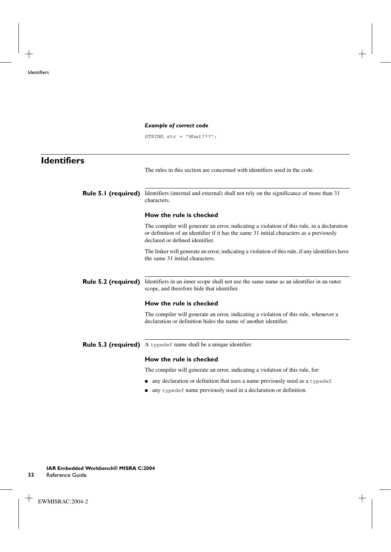#### *Example of correct code*

STRING str = "What???";

# <span id="page-35-0"></span>**Identifiers**

<span id="page-35-1"></span>The rules in this section are concerned with identifiers used in the code.

**Rule 5.1 (required)** Identifiers (internal and external) shall not rely on the significance of more than 31 characters.

## **How the rule is checked**

The compiler will generate an error, indicating a violation of this rule, in a declaration or definition of an identifier if it has the same 31 initial characters as a previously declared or defined identifier.

The linker will generate an error, indicating a violation of this rule, if any identifiers have the same 31 initial characters.

### **Rule 5.2 (required)** Identifiers in an inner scope shall not use the same name as an identifier in an outer scope, and therefore hide that identifier.

#### <span id="page-35-2"></span>**How the rule is checked**

The compiler will generate an error, indicating a violation of this rule, whenever a declaration or definition hides the name of another identifier.

**Rule 5.3 (required)** A typedef name shall be a unique identifier.

#### <span id="page-35-3"></span>**How the rule is checked**

The compiler will generate an error, indicating a violation of this rule, for:

- any declaration or definition that uses a name previously used as a typedef
- any typedef name previously used in a declaration or definition.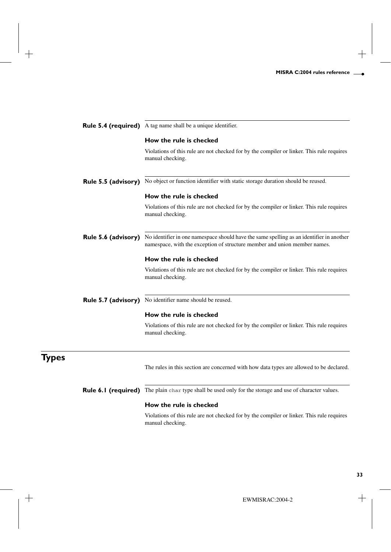<span id="page-36-3"></span><span id="page-36-2"></span><span id="page-36-1"></span>

|                     | <b>Rule 5.4 (required)</b> A tag name shall be a unique identifier.                                                                                                   |
|---------------------|-----------------------------------------------------------------------------------------------------------------------------------------------------------------------|
|                     | How the rule is checked                                                                                                                                               |
|                     | Violations of this rule are not checked for by the compiler or linker. This rule requires<br>manual checking.                                                         |
| Rule 5.5 (advisory) | No object or function identifier with static storage duration should be reused.                                                                                       |
|                     | How the rule is checked                                                                                                                                               |
|                     | Violations of this rule are not checked for by the compiler or linker. This rule requires<br>manual checking.                                                         |
| Rule 5.6 (advisory) | No identifier in one namespace should have the same spelling as an identifier in another<br>namespace, with the exception of structure member and union member names. |
|                     | How the rule is checked                                                                                                                                               |
|                     | Violations of this rule are not checked for by the compiler or linker. This rule requires<br>manual checking.                                                         |
|                     | Rule 5.7 (advisory) No identifier name should be reused.                                                                                                              |
|                     | How the rule is checked                                                                                                                                               |
|                     | Violations of this rule are not checked for by the compiler or linker. This rule requires<br>manual checking.                                                         |
|                     |                                                                                                                                                                       |
|                     | The rules in this section are concerned with how data types are allowed to be declared.                                                                               |
|                     | <b>Rule 6.1 (required)</b> The plain char type shall be used only for the storage and use of character values.                                                        |
|                     | How the rule is checked                                                                                                                                               |
|                     | Violations of this rule are not checked for by the compiler or linker. This rule requires<br>manual checking.                                                         |

<span id="page-36-5"></span><span id="page-36-4"></span><span id="page-36-0"></span>**Types**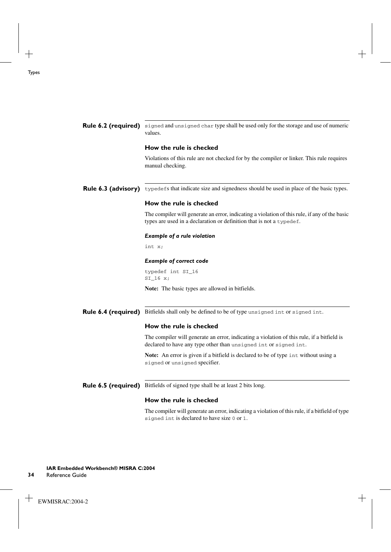<span id="page-37-3"></span><span id="page-37-2"></span><span id="page-37-1"></span><span id="page-37-0"></span>

|                     | Rule 6.2 (required) signed and unsigned char type shall be used only for the storage and use of numeric<br>values.                                                    |
|---------------------|-----------------------------------------------------------------------------------------------------------------------------------------------------------------------|
|                     | How the rule is checked                                                                                                                                               |
|                     | Violations of this rule are not checked for by the compiler or linker. This rule requires<br>manual checking.                                                         |
| Rule 6.3 (advisory) | typedefs that indicate size and signedness should be used in place of the basic types.                                                                                |
|                     | How the rule is checked                                                                                                                                               |
|                     | The compiler will generate an error, indicating a violation of this rule, if any of the basic<br>types are used in a declaration or definition that is not a typedef. |
|                     | <b>Example of a rule violation</b>                                                                                                                                    |
|                     | int x;                                                                                                                                                                |
|                     | <b>Example of correct code</b>                                                                                                                                        |
|                     | typedef int SI_16<br>$SI_16 \times;$                                                                                                                                  |
|                     | Note: The basic types are allowed in bitfields.                                                                                                                       |
| Rule 6.4 (required) | Bitfields shall only be defined to be of type unsigned int or signed int.                                                                                             |
|                     | How the rule is checked                                                                                                                                               |
|                     | The compiler will generate an error, indicating a violation of this rule, if a bitfield is<br>declared to have any type other than unsigned int or signed int.        |
|                     | Note: An error is given if a bitfield is declared to be of type int without using a<br>signed or unsigned specifier.                                                  |
| Rule 6.5 (required) | Bitfields of signed type shall be at least 2 bits long.                                                                                                               |
|                     | How the rule is checked                                                                                                                                               |
|                     | The compiler will generate an error, indicating a violation of this rule, if a bitfield of type<br>signed int is declared to have size 0 or 1.                        |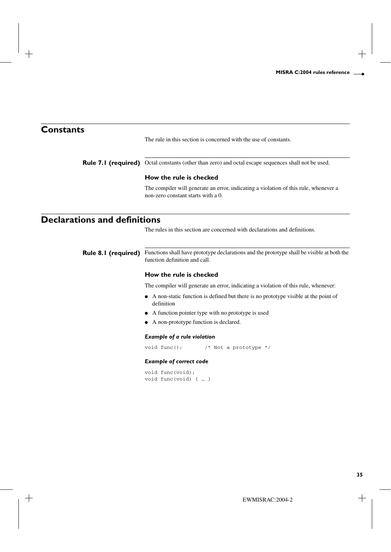<span id="page-38-2"></span><span id="page-38-1"></span><span id="page-38-0"></span>

| <b>Constants</b>                    |                                                                                                                             |
|-------------------------------------|-----------------------------------------------------------------------------------------------------------------------------|
|                                     | The rule in this section is concerned with the use of constants.                                                            |
| Rule 7.1 (required)                 | Octal constants (other than zero) and octal escape sequences shall not be used.                                             |
|                                     | How the rule is checked                                                                                                     |
|                                     | The compiler will generate an error, indicating a violation of this rule, whenever a<br>non-zero constant starts with a 0.  |
|                                     |                                                                                                                             |
| <b>Declarations and definitions</b> |                                                                                                                             |
|                                     | The rules in this section are concerned with declarations and definitions.                                                  |
| Rule 8.1 (required)                 | Functions shall have prototype declarations and the prototype shall be visible at both the<br>function definition and call. |
|                                     | How the rule is checked                                                                                                     |
|                                     | The compiler will generate an error, indicating a violation of this rule, whenever:                                         |
|                                     | A non-static function is defined but there is no prototype visible at the point of<br>definition                            |

- <span id="page-38-3"></span>● A function pointer type with no prototype is used
- A non-prototype function is declared.

## *Example of a rule violation*

void func(); /\* Not a prototype \*/

## *Example of correct code*

void func(void); void func(void) { … }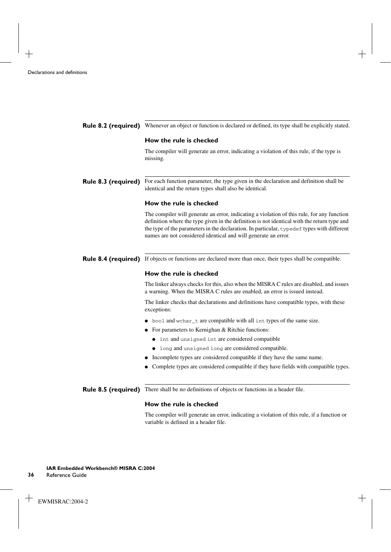<span id="page-39-2"></span><span id="page-39-1"></span><span id="page-39-0"></span>

|                     | Rule 8.2 (required) Whenever an object or function is declared or defined, its type shall be explicitly stated.                                                                                                                                                                                                                                           |
|---------------------|-----------------------------------------------------------------------------------------------------------------------------------------------------------------------------------------------------------------------------------------------------------------------------------------------------------------------------------------------------------|
|                     | How the rule is checked                                                                                                                                                                                                                                                                                                                                   |
|                     | The compiler will generate an error, indicating a violation of this rule, if the type is<br>missing.                                                                                                                                                                                                                                                      |
| Rule 8.3 (required) | For each function parameter, the type given in the declaration and definition shall be<br>identical and the return types shall also be identical.                                                                                                                                                                                                         |
|                     | How the rule is checked                                                                                                                                                                                                                                                                                                                                   |
|                     | The compiler will generate an error, indicating a violation of this rule, for any function<br>definition where the type given in the definition is not identical with the return type and<br>the type of the parameters in the declaration. In particular, typedef types with different<br>names are not considered identical and will generate an error. |
| Rule 8.4 (required) | If objects or functions are declared more than once, their types shall be compatible.                                                                                                                                                                                                                                                                     |
|                     | How the rule is checked                                                                                                                                                                                                                                                                                                                                   |
|                     | The linker always checks for this, also when the MISRA C rules are disabled, and issues<br>a warning. When the MISRA C rules are enabled, an error is issued instead.                                                                                                                                                                                     |
|                     | The linker checks that declarations and definitions have compatible types, with these<br>exceptions:                                                                                                                                                                                                                                                      |
|                     | • bool and wchar_t are compatible with all int types of the same size.                                                                                                                                                                                                                                                                                    |
|                     | • For parameters to Kernighan & Ritchie functions:                                                                                                                                                                                                                                                                                                        |
|                     | • int and unsigned int are considered compatible                                                                                                                                                                                                                                                                                                          |
|                     | • long and unsigned long are considered compatible.<br>• Incomplete types are considered compatible if they have the same name.                                                                                                                                                                                                                           |
|                     | • Complete types are considered compatible if they have fields with compatible types.                                                                                                                                                                                                                                                                     |
|                     | Rule 8.5 (required) There shall be no definitions of objects or functions in a header file.                                                                                                                                                                                                                                                               |
|                     | How the rule is checked                                                                                                                                                                                                                                                                                                                                   |

<span id="page-39-3"></span>The compiler will generate an error, indicating a violation of this rule, if a function or variable is defined in a header file.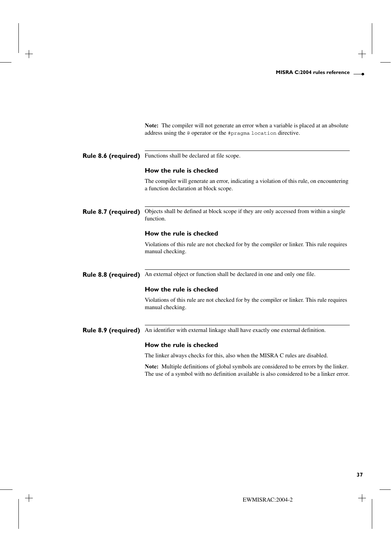**Note:** The compiler will not generate an error when a variable is placed at an absolute address using the @ operator or the #pragma location directive.

**Rule 8.6 (required)** Functions shall be declared at file scope.

#### <span id="page-40-0"></span>**How the rule is checked**

The compiler will generate an error, indicating a violation of this rule, on encountering a function declaration at block scope.

**Rule 8.7 (required)** Objects shall be defined at block scope if they are only accessed from within a single function.

#### <span id="page-40-1"></span>**How the rule is checked**

Violations of this rule are not checked for by the compiler or linker. This rule requires manual checking.

**Rule 8.8 (required)** An external object or function shall be declared in one and only one file.

#### <span id="page-40-2"></span>**How the rule is checked**

Violations of this rule are not checked for by the compiler or linker. This rule requires manual checking.

**Rule 8.9 (required)** An identifier with external linkage shall have exactly one external definition.

#### <span id="page-40-3"></span>**How the rule is checked**

The linker always checks for this, also when the MISRA C rules are disabled.

**Note:** Multiple definitions of global symbols are considered to be errors by the linker. The use of a symbol with no definition available is also considered to be a linker error.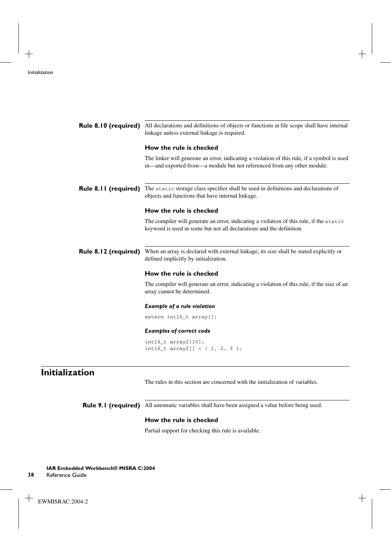<span id="page-41-2"></span><span id="page-41-1"></span>

| Rule 8.10 (required) | All declarations and definitions of objects or functions at file scope shall have internal<br>linkage unless external linkage is required.                             |
|----------------------|------------------------------------------------------------------------------------------------------------------------------------------------------------------------|
|                      | How the rule is checked                                                                                                                                                |
|                      | The linker will generate an error, indicating a violation of this rule, if a symbol is used<br>in—and exported from—a module but not referenced from any other module. |
| Rule 8.11 (required) | The static storage class specifier shall be used in definitions and declarations of<br>objects and functions that have internal linkage.                               |
|                      | How the rule is checked                                                                                                                                                |
|                      | The compiler will generate an error, indicating a violation of this rule, if the static<br>keyword is used in some but not all declarations and the definition.        |
| Rule 8.12 (required) | When an array is declared with external linkage, its size shall be stated explicitly or<br>defined implicitly by initialization.                                       |
|                      | How the rule is checked                                                                                                                                                |
|                      | The compiler will generate an error, indicating a violation of this rule, if the size of an<br>array cannot be determined.                                             |
|                      | <b>Example of a rule violation</b>                                                                                                                                     |
|                      | extern int16_t array[];                                                                                                                                                |
|                      | <b>Examples of correct code</b>                                                                                                                                        |
|                      | $int16_t array2[10];$<br>$int16_t = array2[] = { 1, 2, 3 }$                                                                                                            |
|                      |                                                                                                                                                                        |

# <span id="page-41-0"></span>**Initialization**

<span id="page-41-3"></span>The rules in this section are concerned with the initialization of variables.

**Rule 9.1 (required)** All automatic variables shall have been assigned a value before being used.

## <span id="page-41-4"></span>**How the rule is checked**

Partial support for checking this rule is available.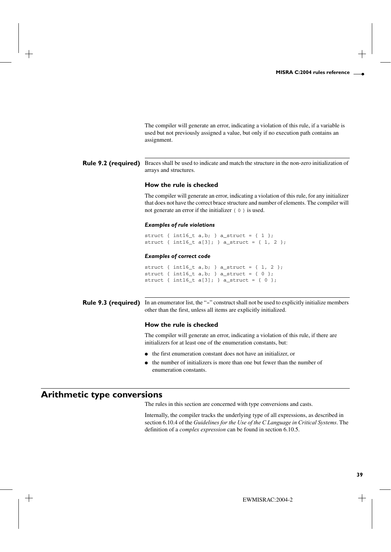The compiler will generate an error, indicating a violation of this rule, if a variable is used but not previously assigned a value, but only if no execution path contains an assignment.

**Rule 9.2 (required)** Braces shall be used to indicate and match the structure in the non-zero initialization of arrays and structures.

#### <span id="page-42-1"></span>**How the rule is checked**

The compiler will generate an error, indicating a violation of this rule, for any initializer that does not have the correct brace structure and number of elements. The compiler will not generate an error if the initializer { 0 } is used.

#### *Examples of rule violations*

struct { int16 t a,b; } a struct = { 1 }; struct { int16\_t a[3]; } a\_struct = { 1, 2 };

#### *Examples of correct code*

struct { int16 t a,b; } a struct = { 1, 2 }; struct { int16\_t a,b; } a\_struct = {  $0$  }; struct { int16\_t a[3]; } a\_struct = {  $0$  };

**Rule 9.3 (required)** In an enumerator list, the "=" construct shall not be used to explicitly initialize members other than the first, unless all items are explicitly initialized.

#### <span id="page-42-2"></span>**How the rule is checked**

The compiler will generate an error, indicating a violation of this rule, if there are initializers for at least one of the enumeration constants, but:

- the first enumeration constant does not have an initializer, or
- the number of initializers is more than one but fewer than the number of enumeration constants.

# <span id="page-42-0"></span>**Arithmetic type conversions**

The rules in this section are concerned with type conversions and casts.

Internally, the compiler tracks the underlying type of all expressions, as described in section 6.10.4 of the *Guidelines for the Use of the C Language in Critical Systems*. The definition of a *complex expression* can be found in section 6.10.5.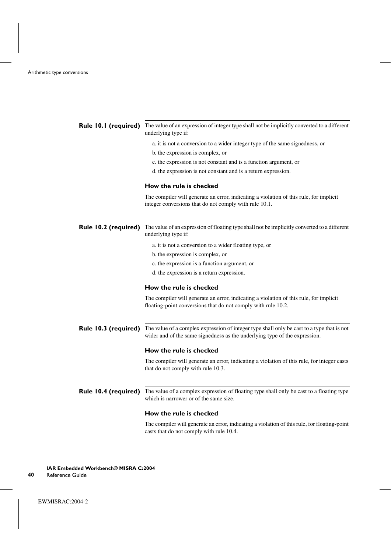<span id="page-43-3"></span><span id="page-43-2"></span><span id="page-43-1"></span><span id="page-43-0"></span>

| Rule 10.1 (required) | The value of an expression of integer type shall not be implicitly converted to a different<br>underlying type if:                                                       |
|----------------------|--------------------------------------------------------------------------------------------------------------------------------------------------------------------------|
|                      | a. it is not a conversion to a wider integer type of the same signedness, or                                                                                             |
|                      | b. the expression is complex, or                                                                                                                                         |
|                      | c. the expression is not constant and is a function argument, or                                                                                                         |
|                      | d. the expression is not constant and is a return expression.                                                                                                            |
|                      | How the rule is checked                                                                                                                                                  |
|                      | The compiler will generate an error, indicating a violation of this rule, for implicit<br>integer conversions that do not comply with rule 10.1.                         |
| Rule 10.2 (required) | The value of an expression of floating type shall not be implicitly converted to a different<br>underlying type if:                                                      |
|                      | a. it is not a conversion to a wider floating type, or                                                                                                                   |
|                      | b. the expression is complex, or                                                                                                                                         |
|                      | c. the expression is a function argument, or                                                                                                                             |
|                      | d. the expression is a return expression.                                                                                                                                |
|                      | How the rule is checked                                                                                                                                                  |
|                      | The compiler will generate an error, indicating a violation of this rule, for implicit<br>floating-point conversions that do not comply with rule 10.2.                  |
| Rule 10.3 (required) | The value of a complex expression of integer type shall only be cast to a type that is not<br>wider and of the same signedness as the underlying type of the expression. |
|                      | How the rule is checked                                                                                                                                                  |
|                      | The compiler will generate an error, indicating a violation of this rule, for integer casts<br>that do not comply with rule 10.3.                                        |
| Rule 10.4 (required) | The value of a complex expression of floating type shall only be cast to a floating type<br>which is narrower or of the same size.                                       |
|                      | How the rule is checked                                                                                                                                                  |
|                      | The compiler will generate an error, indicating a violation of this rule, for floating-point<br>casts that do not comply with rule 10.4.                                 |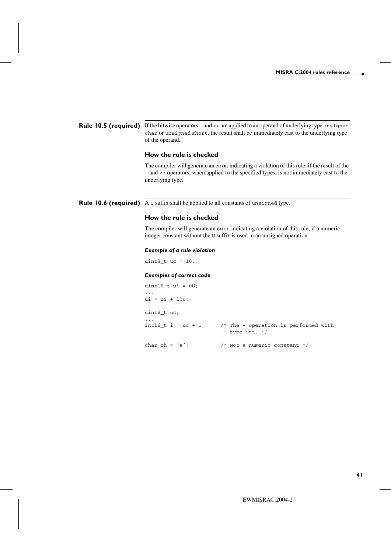**Rule 10.5 (required)** If the bitwise operators ~ and << are applied to an operand of underlying type unsigned char or unsigned short, the result shall be immediately cast to the underlying type of the operand.

#### <span id="page-44-0"></span>**How the rule is checked**

The compiler will generate an error, indicating a violation of this rule, if the result of the ~ and << operators, when applied to the specified types, is not immediately cast to the underlying type.

**Rule 10.6 (required)** A U suffix shall be applied to all constants of unsigned type.

#### <span id="page-44-1"></span>**How the rule is checked**

The compiler will generate an error, indicating a violation of this rule, if a numeric integer constant without the U suffix is used in an unsigned operation.

#### *Example of a rule violation*

uint $8_t$  uc = 10;

#### *Examples of correct code*

| uint16 t ui = OU;          |                                                                               |
|----------------------------|-------------------------------------------------------------------------------|
| $\ddots$<br>ui = ui + 10U; |                                                                               |
| uint8 t uc;                |                                                                               |
|                            | $int16_t i = uc + 1$ ; /* The + operation is performed with<br>type int. $*/$ |
| char ch = $'a$ ;           | $/*$ Not a numeric constant $*/$                                              |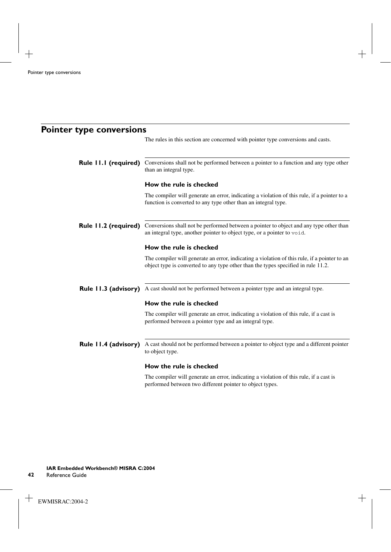<span id="page-45-4"></span><span id="page-45-3"></span><span id="page-45-2"></span><span id="page-45-1"></span><span id="page-45-0"></span>

| <b>Pointer type conversions</b> |                                                                                                                                                                                   |
|---------------------------------|-----------------------------------------------------------------------------------------------------------------------------------------------------------------------------------|
|                                 | The rules in this section are concerned with pointer type conversions and casts.                                                                                                  |
| Rule II.I (required)            | Conversions shall not be performed between a pointer to a function and any type other<br>than an integral type.                                                                   |
|                                 | How the rule is checked                                                                                                                                                           |
|                                 | The compiler will generate an error, indicating a violation of this rule, if a pointer to a<br>function is converted to any type other than an integral type.                     |
| Rule 11.2 (required)            | Conversions shall not be performed between a pointer to object and any type other than<br>an integral type, another pointer to object type, or a pointer to void.                 |
|                                 | How the rule is checked                                                                                                                                                           |
|                                 | The compiler will generate an error, indicating a violation of this rule, if a pointer to an<br>object type is converted to any type other than the types specified in rule 11.2. |
| Rule 11.3 (advisory)            | A cast should not be performed between a pointer type and an integral type.                                                                                                       |
|                                 | How the rule is checked                                                                                                                                                           |
|                                 | The compiler will generate an error, indicating a violation of this rule, if a cast is<br>performed between a pointer type and an integral type.                                  |
| Rule 11.4 (advisory)            | A cast should not be performed between a pointer to object type and a different pointer<br>to object type.                                                                        |
|                                 | How the rule is checked                                                                                                                                                           |
|                                 | The compiler will generate an error, indicating a violation of this rule, if a cast is<br>performed between two different pointer to object types.                                |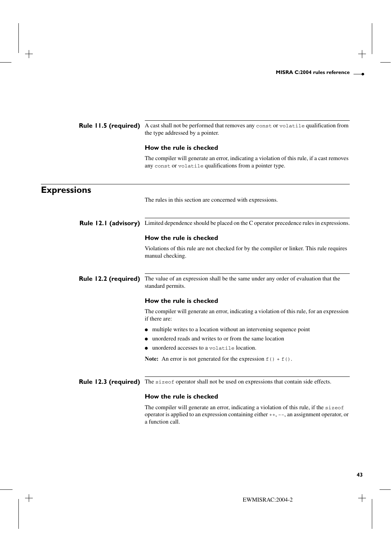<span id="page-46-4"></span><span id="page-46-3"></span><span id="page-46-2"></span><span id="page-46-1"></span><span id="page-46-0"></span>

|                      | <b>Rule 11.5 (required)</b> A cast shall not be performed that removes any const or volatile qualification from<br>the type addressed by a pointer.                                                               |
|----------------------|-------------------------------------------------------------------------------------------------------------------------------------------------------------------------------------------------------------------|
|                      | How the rule is checked                                                                                                                                                                                           |
|                      | The compiler will generate an error, indicating a violation of this rule, if a cast removes<br>any const or volatile qualifications from a pointer type.                                                          |
| <b>Expressions</b>   | The rules in this section are concerned with expressions.                                                                                                                                                         |
|                      |                                                                                                                                                                                                                   |
|                      | <b>Rule 12.1 (advisory)</b> Limited dependence should be placed on the C operator precedence rules in expressions.                                                                                                |
|                      | <b>How the rule is checked</b>                                                                                                                                                                                    |
|                      | Violations of this rule are not checked for by the compiler or linker. This rule requires<br>manual checking.                                                                                                     |
| Rule 12.2 (required) | The value of an expression shall be the same under any order of evaluation that the<br>standard permits.                                                                                                          |
|                      | How the rule is checked                                                                                                                                                                                           |
|                      | The compiler will generate an error, indicating a violation of this rule, for an expression<br>if there are:                                                                                                      |
|                      | • multiple writes to a location without an intervening sequence point                                                                                                                                             |
|                      | unordered reads and writes to or from the same location                                                                                                                                                           |
|                      | unordered accesses to a volatile location.                                                                                                                                                                        |
|                      | <b>Note:</b> An error is not generated for the expression $f(t) + f(t)$ .                                                                                                                                         |
| Rule 12.3 (required) | The size of operator shall not be used on expressions that contain side effects.                                                                                                                                  |
|                      | How the rule is checked                                                                                                                                                                                           |
|                      | The compiler will generate an error, indicating a violation of this rule, if the $size of$<br>operator is applied to an expression containing either $++$ , $--$ , an assignment operator, or<br>a function call. |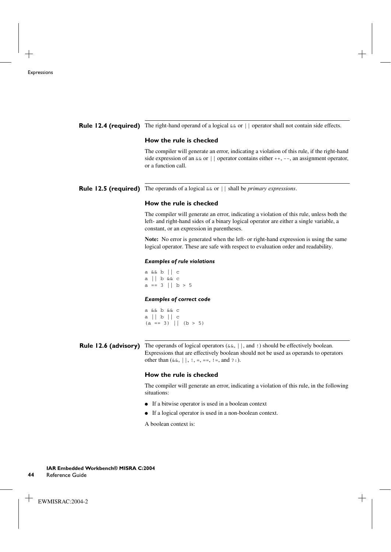**Rule 12.4 (required)** The right-hand operand of a logical  $\&&$  or  $||$  operator shall not contain side effects.

#### <span id="page-47-0"></span>**How the rule is checked**

The compiler will generate an error, indicating a violation of this rule, if the right-hand side expression of an  $\&\&$  or || operator contains either ++, --, an assignment operator, or a function call.

**Rule 12.5 (required)** The operands of a logical && or || shall be *primary expressions*.

#### <span id="page-47-1"></span>**How the rule is checked**

The compiler will generate an error, indicating a violation of this rule, unless both the left- and right-hand sides of a binary logical operator are either a single variable, a constant, or an expression in parentheses.

**Note:** No error is generated when the left- or right-hand expression is using the same logical operator. These are safe with respect to evaluation order and readability.

#### *Examples of rule violations*

a && b || c a || b && c  $a == 3$  ||  $b > 5$ 

#### *Examples of correct code*

a && b && c a || b || c  $(a == 3) || (b > 5)$ 

**Rule 12.6 (advisory)** The operands of logical operators (&&, ||, and !) should be effectively boolean. Expressions that are effectively boolean should not be used as operands to operators other than  $(x_{\delta}, | \cdot, \cdot, \cdot, \cdot, \cdot, \cdot, \cdot, \cdot)$ .

#### <span id="page-47-2"></span>**How the rule is checked**

The compiler will generate an error, indicating a violation of this rule, in the following situations:

- If a bitwise operator is used in a boolean context
- If a logical operator is used in a non-boolean context.

A boolean context is: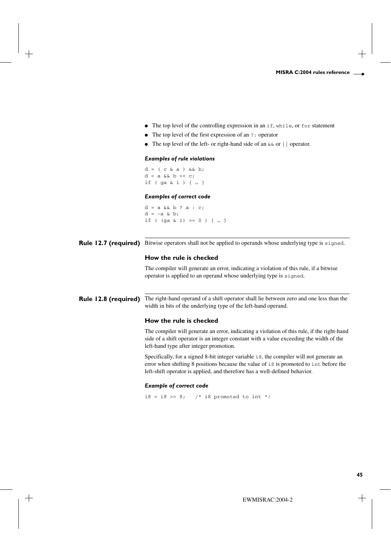- The top level of the controlling expression in an if, while, or for statement
- The top level of the first expression of an ?: operator
- The top level of the left- or right-hand side of an  $\&\&$  or  $||$  operator.

#### *Examples of rule violations*

 $d = (c \& a) \& b$ ;  $d = a \&&b \iff c$ ; if ( ga & 1 ) { … }

#### *Examples of correct code*

 $d = a \&b ? a : c;$  $d = -a$  & b; if (  $(qa \& 1) == 0$  ) { ... }

**Rule 12.7 (required)** Bitwise operators shall not be applied to operands whose underlying type is signed.

#### <span id="page-48-0"></span>**How the rule is checked**

The compiler will generate an error, indicating a violation of this rule, if a bitwise operator is applied to an operand whose underlying type is signed.

**Rule 12.8 (required)** The right-hand operand of a shift operator shall lie between zero and one less than the width in bits of the underlying type of the left-hand operand.

#### <span id="page-48-1"></span>**How the rule is checked**

The compiler will generate an error, indicating a violation of this rule, if the right-hand side of a shift operator is an integer constant with a value exceeding the width of the left-hand type after integer promotion.

Specifically, for a signed 8-bit integer variable i8, the compiler will not generate an error when shifting 8 positions because the value of i8 is promoted to int before the left-shift operator is applied, and therefore has a well-defined behavior.

#### *Example of correct code*

 $i8 = i8 \gg 8$ ; /\* i8 promoted to int \*/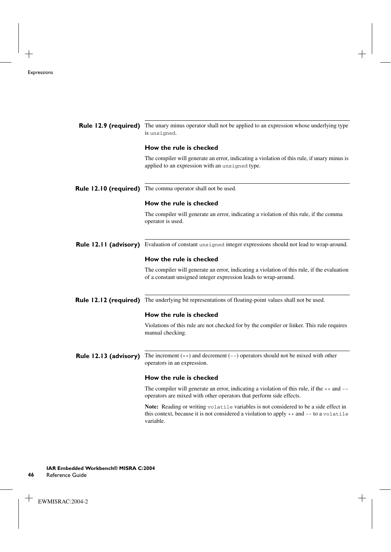<span id="page-49-4"></span><span id="page-49-3"></span><span id="page-49-2"></span><span id="page-49-1"></span><span id="page-49-0"></span>

| Rule 12.9 (required)  | The unary minus operator shall not be applied to an expression whose underlying type<br>is unsigned.                                                                                                    |
|-----------------------|---------------------------------------------------------------------------------------------------------------------------------------------------------------------------------------------------------|
|                       | How the rule is checked                                                                                                                                                                                 |
|                       | The compiler will generate an error, indicating a violation of this rule, if unary minus is<br>applied to an expression with an unsigned type.                                                          |
| Rule 12.10 (required) | The comma operator shall not be used.                                                                                                                                                                   |
|                       | How the rule is checked                                                                                                                                                                                 |
|                       | The compiler will generate an error, indicating a violation of this rule, if the comma<br>operator is used.                                                                                             |
| Rule 12.11 (advisory) | Evaluation of constant unsigned integer expressions should not lead to wrap-around.                                                                                                                     |
|                       | <b>How the rule is checked</b>                                                                                                                                                                          |
|                       | The compiler will generate an error, indicating a violation of this rule, if the evaluation<br>of a constant unsigned integer expression leads to wrap-around.                                          |
| Rule 12.12 (required) | The underlying bit representations of floating-point values shall not be used.                                                                                                                          |
|                       | <b>How the rule is checked</b>                                                                                                                                                                          |
|                       | Violations of this rule are not checked for by the compiler or linker. This rule requires<br>manual checking.                                                                                           |
| Rule 12.13 (advisory) | The increment $(++)$ and decrement $(--)$ operators should not be mixed with other<br>operators in an expression.                                                                                       |
|                       | How the rule is checked                                                                                                                                                                                 |
|                       | The compiler will generate an error, indicating a violation of this rule, if the $++$ and $--$<br>operators are mixed with other operators that perform side effects.                                   |
|                       | <b>Note:</b> Reading or writing volatile variables is not considered to be a side effect in<br>this context, because it is not considered a violation to apply $++$ and $--$ to a volatile<br>variable. |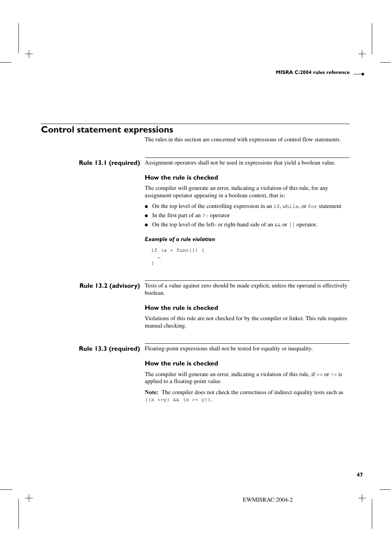# <span id="page-50-0"></span>**Control statement expressions**

The rules in this section are concerned with expressions of control flow statements.

**Rule 13.1 (required)** Assignment operators shall not be used in expressions that yield a boolean value.

#### <span id="page-50-1"></span>**How the rule is checked**

The compiler will generate an error, indicating a violation of this rule, for any assignment operator appearing in a boolean context, that is:

- On the top level of the controlling expression in an if, while, or for statement
- In the first part of an ?: operator
- On the top level of the left- or right-hand side of an  $\&\&$  or  $||$  operator.

#### *Example of a rule violation*

if  $(a = func())$  { … }

**Rule 13.2 (advisory)** Tests of a value against zero should be made explicit, unless the operand is effectively boolean.

#### <span id="page-50-2"></span>**How the rule is checked**

Violations of this rule are not checked for by the compiler or linker. This rule requires manual checking.

**Rule 13.3 (required)** Floating-point expressions shall not be tested for equality or inequality.

#### <span id="page-50-3"></span>**How the rule is checked**

The compiler will generate an error, indicating a violation of this rule, if  $=$  or  $!=$  is applied to a floating-point value.

**Note:** The compiler does not check the correctness of indirect equality tests such as  $((x \le y) \& (x \le y)).$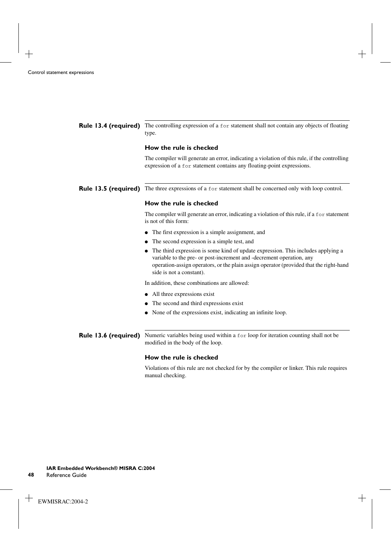| <b>Rule 13.4 (required)</b> The controlling expression of a for statement shall not contain any objects of floating |
|---------------------------------------------------------------------------------------------------------------------|
| type.                                                                                                               |

#### <span id="page-51-0"></span>**How the rule is checked**

The compiler will generate an error, indicating a violation of this rule, if the controlling expression of a for statement contains any floating-point expressions.

**Rule 13.5 (required)** The three expressions of a for statement shall be concerned only with loop control.

#### <span id="page-51-1"></span>**How the rule is checked**

The compiler will generate an error, indicating a violation of this rule, if a for statement is not of this form:

- The first expression is a simple assignment, and
- The second expression is a simple test, and
- The third expression is some kind of update expression. This includes applying a variable to the pre- or post-increment and -decrement operation, any operation-assign operators, or the plain assign operator (provided that the right-hand side is not a constant).

In addition, these combinations are allowed:

- All three expressions exist
- The second and third expressions exist
- <span id="page-51-2"></span>● None of the expressions exist, indicating an infinite loop.

**Rule 13.6 (required)** Numeric variables being used within a for loop for iteration counting shall not be modified in the body of the loop.

#### **How the rule is checked**

Violations of this rule are not checked for by the compiler or linker. This rule requires manual checking.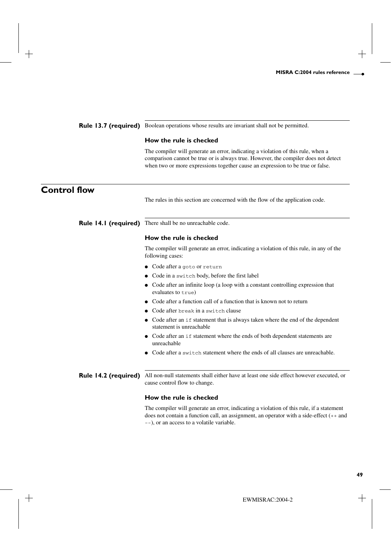<span id="page-52-3"></span><span id="page-52-2"></span><span id="page-52-1"></span><span id="page-52-0"></span>

|                     |                      | Rule 13.7 (required) Boolean operations whose results are invariant shall not be permitted.                                                                                                                                                              |
|---------------------|----------------------|----------------------------------------------------------------------------------------------------------------------------------------------------------------------------------------------------------------------------------------------------------|
|                     |                      | How the rule is checked                                                                                                                                                                                                                                  |
|                     |                      | The compiler will generate an error, indicating a violation of this rule, when a<br>comparison cannot be true or is always true. However, the compiler does not detect<br>when two or more expressions together cause an expression to be true or false. |
| <b>Control flow</b> |                      |                                                                                                                                                                                                                                                          |
|                     |                      | The rules in this section are concerned with the flow of the application code.                                                                                                                                                                           |
|                     |                      | <b>Rule 14.1 (required)</b> There shall be no unreachable code.                                                                                                                                                                                          |
|                     |                      | How the rule is checked                                                                                                                                                                                                                                  |
|                     |                      | The compiler will generate an error, indicating a violation of this rule, in any of the<br>following cases:                                                                                                                                              |
|                     |                      | $\bullet$ Code after a goto or return                                                                                                                                                                                                                    |
|                     |                      | • Code in a switch body, before the first label                                                                                                                                                                                                          |
|                     |                      | • Code after an infinite loop (a loop with a constant controlling expression that<br>evaluates to true)                                                                                                                                                  |
|                     |                      | • Code after a function call of a function that is known not to return                                                                                                                                                                                   |
|                     |                      | • Code after break in a switch clause                                                                                                                                                                                                                    |
|                     |                      | • Code after an if statement that is always taken where the end of the dependent<br>statement is unreachable                                                                                                                                             |
|                     |                      | • Code after an if statement where the ends of both dependent statements are<br>unreachable                                                                                                                                                              |
|                     |                      | Code after a switch statement where the ends of all clauses are unreachable.                                                                                                                                                                             |
|                     | Rule 14.2 (required) | All non-null statements shall either have at least one side effect however executed, or<br>cause control flow to change.                                                                                                                                 |
|                     |                      | How the rule is checked                                                                                                                                                                                                                                  |
|                     |                      | The compiler will generate an error, indicating a violation of this rule, if a statement<br>does not contain a function call, an assignment, an operator with a side-effect (++ and<br>--), or an access to a volatile variable.                         |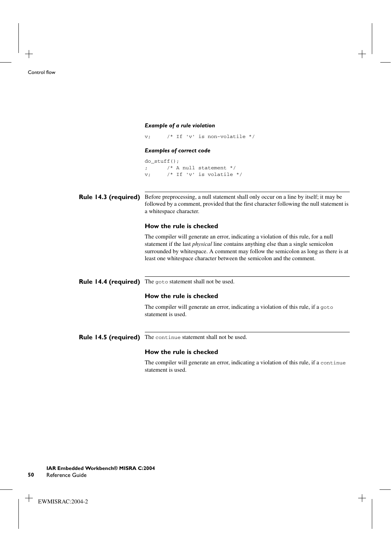#### *Example of a rule violation*

v; /\* If 'v' is non-volatile \*/

#### *Examples of correct code*

do\_stuff(); ; /\* A null statement \*/ v; /\* If 'v' is volatile \*/

**Rule 14.3 (required)** Before preprocessing, a null statement shall only occur on a line by itself; it may be followed by a comment, provided that the first character following the null statement is a whitespace character.

#### <span id="page-53-0"></span>**How the rule is checked**

The compiler will generate an error, indicating a violation of this rule, for a null statement if the last *physical* line contains anything else than a single semicolon surrounded by whitespace. A comment may follow the semicolon as long as there is at least one whitespace character between the semicolon and the comment.

**Rule 14.4 (required)** The goto statement shall not be used.

#### <span id="page-53-1"></span>**How the rule is checked**

The compiler will generate an error, indicating a violation of this rule, if a goto statement is used.

**Rule 14.5 (required)** The continue statement shall not be used.

#### <span id="page-53-2"></span>**How the rule is checked**

The compiler will generate an error, indicating a violation of this rule, if a continue statement is used.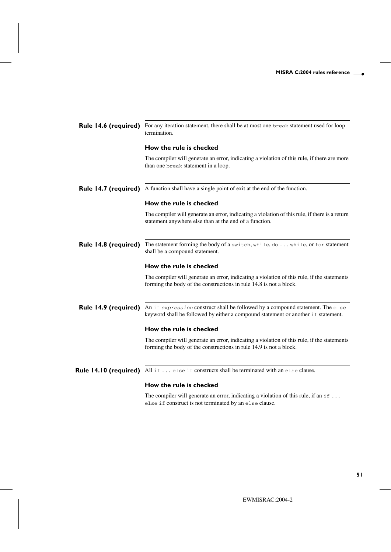<span id="page-54-4"></span><span id="page-54-3"></span><span id="page-54-2"></span><span id="page-54-1"></span><span id="page-54-0"></span>

|                      | <b>Rule 14.6 (required)</b> For any iteration statement, there shall be at most one break statement used for loop<br>termination.                                   |
|----------------------|---------------------------------------------------------------------------------------------------------------------------------------------------------------------|
|                      | How the rule is checked                                                                                                                                             |
|                      | The compiler will generate an error, indicating a violation of this rule, if there are more<br>than one break statement in a loop.                                  |
|                      | <b>Rule 14.7 (required)</b> A function shall have a single point of exit at the end of the function.                                                                |
|                      | How the rule is checked                                                                                                                                             |
|                      | The compiler will generate an error, indicating a violation of this rule, if there is a return<br>statement anywhere else than at the end of a function.            |
| Rule 14.8 (required) | The statement forming the body of a switch, while, do  while, or for statement<br>shall be a compound statement.                                                    |
|                      | How the rule is checked                                                                                                                                             |
|                      | The compiler will generate an error, indicating a violation of this rule, if the statements<br>forming the body of the constructions in rule 14.8 is not a block.   |
| Rule 14.9 (required) | An if expression construct shall be followed by a compound statement. The else<br>keyword shall be followed by either a compound statement or another if statement. |
|                      | How the rule is checked                                                                                                                                             |
|                      | The compiler will generate an error, indicating a violation of this rule, if the statements<br>forming the body of the constructions in rule 14.9 is not a block.   |
|                      | <b>Rule 14.10 (required)</b> All if $\ldots$ else if constructs shall be terminated with an else clause.                                                            |
|                      | How the rule is checked                                                                                                                                             |
|                      | The compiler will generate an error, indicating a violation of this rule, if an $if \dots$<br>else if construct is not terminated by an else clause.                |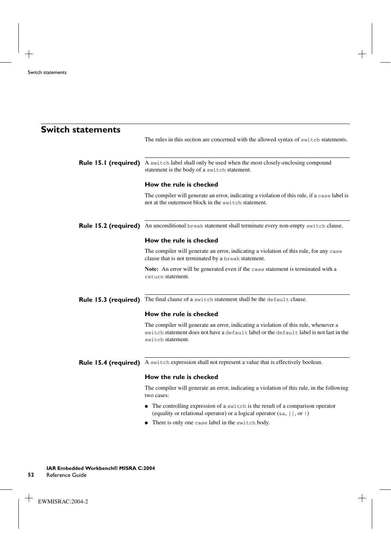<span id="page-55-4"></span><span id="page-55-3"></span><span id="page-55-2"></span><span id="page-55-1"></span><span id="page-55-0"></span>

| The rules in this section are concerned with the allowed syntax of switch statements.                                                                                                               |
|-----------------------------------------------------------------------------------------------------------------------------------------------------------------------------------------------------|
| A switch label shall only be used when the most closely-enclosing compound<br>Rule 15.1 (required)<br>statement is the body of a switch statement.                                                  |
| How the rule is checked                                                                                                                                                                             |
| The compiler will generate an error, indicating a violation of this rule, if a case label is<br>not at the outermost block in the switch statement.                                                 |
| An unconditional break statement shall terminate every non-empty switch clause.<br>Rule 15.2 (required)                                                                                             |
| How the rule is checked                                                                                                                                                                             |
| The compiler will generate an error, indicating a violation of this rule, for any case<br>clause that is not terminated by a break statement.                                                       |
| Note: An error will be generated even if the case statement is terminated with a<br>return statement.                                                                                               |
| <b>Rule 15.3 (required)</b> The final clause of a switch statement shall be the default clause.                                                                                                     |
| How the rule is checked                                                                                                                                                                             |
| The compiler will generate an error, indicating a violation of this rule, whenever a<br>switch statement does not have a default label or the default label is not last in the<br>switch statement. |
| <b>Rule 15.4 (required)</b> A switch expression shall not represent a value that is effectively boolean.                                                                                            |
| How the rule is checked                                                                                                                                                                             |
| The compiler will generate an error, indicating a violation of this rule, in the following<br>two cases:                                                                                            |
| • The controlling expression of a switch is the result of a comparison operator<br>(equality or relational operator) or a logical operator ( $\&\&$ , $  $ , or $\&$ )                              |
| • There is only one case label in the switch body.                                                                                                                                                  |
|                                                                                                                                                                                                     |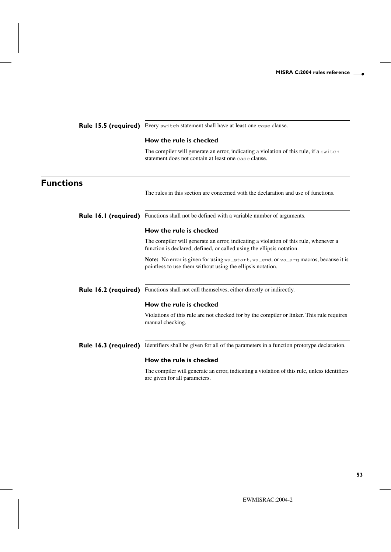**Rule 15.5 (required)** Every switch statement shall have at least one case clause.

#### <span id="page-56-1"></span>**How the rule is checked**

The compiler will generate an error, indicating a violation of this rule, if a switch statement does not contain at least one case clause.

<span id="page-56-0"></span>

| <b>Functions</b> |  |
|------------------|--|
|                  |  |

The rules in this section are concerned with the declaration and use of functions.

**Rule 16.1 (required)** Functions shall not be defined with a variable number of arguments.

#### <span id="page-56-2"></span>**How the rule is checked**

The compiler will generate an error, indicating a violation of this rule, whenever a function is declared, defined, or called using the ellipsis notation.

**Note:** No error is given for using va\_start, va\_end, or va\_arg macros, because it is pointless to use them without using the ellipsis notation.

**Rule 16.2 (required)** Functions shall not call themselves, either directly or indirectly.

### <span id="page-56-3"></span>**How the rule is checked**

Violations of this rule are not checked for by the compiler or linker. This rule requires manual checking.

**Rule 16.3 (required)** Identifiers shall be given for all of the parameters in a function prototype declaration.

#### <span id="page-56-4"></span>**How the rule is checked**

The compiler will generate an error, indicating a violation of this rule, unless identifiers are given for all parameters.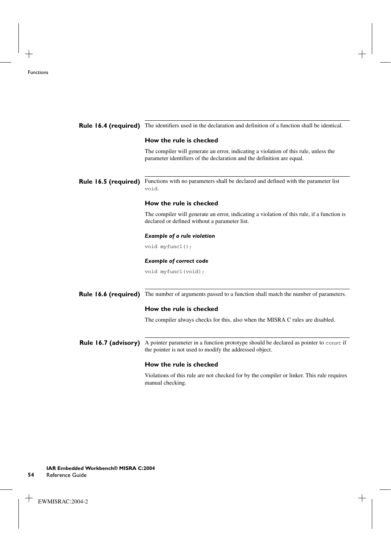<span id="page-57-3"></span><span id="page-57-2"></span><span id="page-57-1"></span><span id="page-57-0"></span>

|                      | Rule 16.4 (required) The identifiers used in the declaration and definition of a function shall be identical.                                                  |
|----------------------|----------------------------------------------------------------------------------------------------------------------------------------------------------------|
|                      | How the rule is checked                                                                                                                                        |
|                      | The compiler will generate an error, indicating a violation of this rule, unless the<br>parameter identifiers of the declaration and the definition are equal. |
| Rule 16.5 (required) | Functions with no parameters shall be declared and defined with the parameter list<br>void.                                                                    |
|                      | How the rule is checked                                                                                                                                        |
|                      | The compiler will generate an error, indicating a violation of this rule, if a function is<br>declared or defined without a parameter list.                    |
|                      | <b>Example of a rule violation</b>                                                                                                                             |
|                      | void myfunc1();                                                                                                                                                |
|                      | <b>Example of correct code</b>                                                                                                                                 |
|                      | void myfunc1(void);                                                                                                                                            |
|                      | <b>Rule 16.6 (required)</b> The number of arguments passed to a function shall match the number of parameters.                                                 |
|                      | How the rule is checked                                                                                                                                        |
|                      | The compiler always checks for this, also when the MISRA C rules are disabled.                                                                                 |
| Rule 16.7 (advisory) | A pointer parameter in a function prototype should be declared as pointer to const if<br>the pointer is not used to modify the addressed object.               |
|                      | How the rule is checked                                                                                                                                        |
|                      | Violations of this rule are not checked for by the compiler or linker. This rule requires<br>manual checking.                                                  |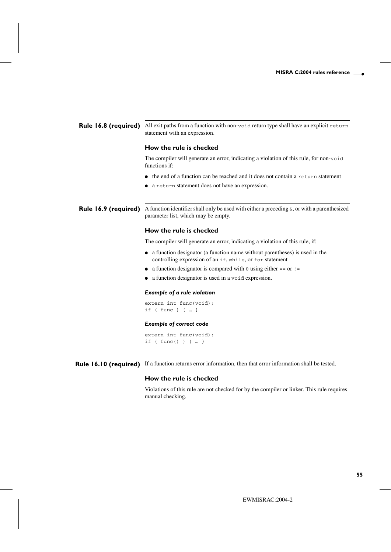**Rule 16.8 (required)** All exit paths from a function with non-void return type shall have an explicit return statement with an expression.

#### <span id="page-58-0"></span>**How the rule is checked**

The compiler will generate an error, indicating a violation of this rule, for non-void functions if:

- $\bullet$  the end of a function can be reached and it does not contain a return statement
- <span id="page-58-1"></span>● a return statement does not have an expression.

**Rule 16.9 (required)** A function identifier shall only be used with either a preceding  $\alpha$ , or with a parenthesized parameter list, which may be empty.

#### **How the rule is checked**

The compiler will generate an error, indicating a violation of this rule, if:

- a function designator (a function name without parentheses) is used in the controlling expression of an if, while, or for statement
- a function designator is compared with 0 using either  $==$  or  $!=$
- a function designator is used in a void expression.

#### *Example of a rule violation*

```
extern int func(void);
if ( func ) { … }
```
#### *Example of correct code*

```
extern int func(void);
if ( func() ) { … }
```
**Rule 16.10 (required)** If a function returns error information, then that error information shall be tested.

#### <span id="page-58-2"></span>**How the rule is checked**

Violations of this rule are not checked for by the compiler or linker. This rule requires manual checking.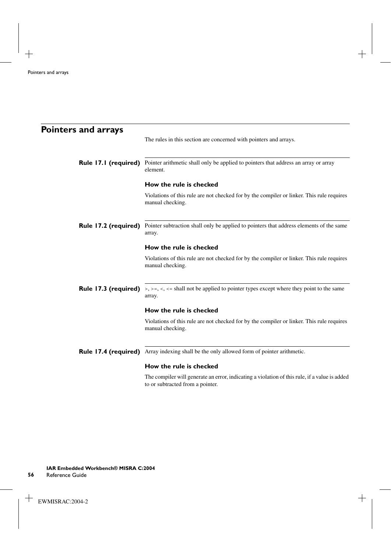<span id="page-59-4"></span><span id="page-59-3"></span><span id="page-59-2"></span><span id="page-59-1"></span><span id="page-59-0"></span>

| <b>Pointers and arrays</b> | The rules in this section are concerned with pointers and arrays.                                                                 |
|----------------------------|-----------------------------------------------------------------------------------------------------------------------------------|
|                            | Rule 17.1 (required) Pointer arithmetic shall only be applied to pointers that address an array or array<br>element.              |
|                            | How the rule is checked                                                                                                           |
|                            | Violations of this rule are not checked for by the compiler or linker. This rule requires<br>manual checking.                     |
| Rule 17.2 (required)       | Pointer subtraction shall only be applied to pointers that address elements of the same<br>array.                                 |
|                            | How the rule is checked                                                                                                           |
|                            | Violations of this rule are not checked for by the compiler or linker. This rule requires<br>manual checking.                     |
|                            | <b>Rule 17.3 (required)</b> >, >=, <, <= shall not be applied to pointer types except where they point to the same<br>array.      |
|                            | How the rule is checked                                                                                                           |
|                            | Violations of this rule are not checked for by the compiler or linker. This rule requires<br>manual checking.                     |
|                            | Rule 17.4 (required) Array indexing shall be the only allowed form of pointer arithmetic.                                         |
|                            | How the rule is checked                                                                                                           |
|                            | The compiler will generate an error, indicating a violation of this rule, if a value is added<br>to or subtracted from a pointer. |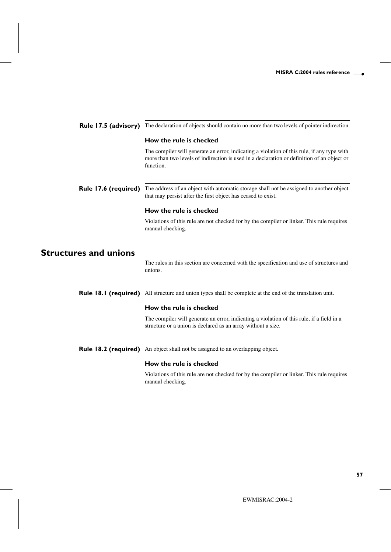<span id="page-60-4"></span><span id="page-60-3"></span><span id="page-60-2"></span><span id="page-60-1"></span><span id="page-60-0"></span>

|                              | Rule 17.5 (advisory) The declaration of objects should contain no more than two levels of pointer indirection.                                                                                        |
|------------------------------|-------------------------------------------------------------------------------------------------------------------------------------------------------------------------------------------------------|
|                              | How the rule is checked                                                                                                                                                                               |
|                              | The compiler will generate an error, indicating a violation of this rule, if any type with<br>more than two levels of indirection is used in a declaration or definition of an object or<br>function. |
| Rule 17.6 (required)         | The address of an object with automatic storage shall not be assigned to another object<br>that may persist after the first object has ceased to exist.                                               |
|                              | How the rule is checked                                                                                                                                                                               |
|                              | Violations of this rule are not checked for by the compiler or linker. This rule requires<br>manual checking.                                                                                         |
| <b>Structures and unions</b> | The rules in this section are concerned with the specification and use of structures and<br>unions.                                                                                                   |
|                              |                                                                                                                                                                                                       |
| Rule 18.1 (required)         | All structure and union types shall be complete at the end of the translation unit.                                                                                                                   |
|                              | How the rule is checked                                                                                                                                                                               |
|                              | The compiler will generate an error, indicating a violation of this rule, if a field in a<br>structure or a union is declared as an array without a size.                                             |
|                              | <b>Rule 18.2 (required)</b> An object shall not be assigned to an overlapping object.                                                                                                                 |
|                              | How the rule is checked                                                                                                                                                                               |
|                              | Violations of this rule are not checked for by the compiler or linker. This rule requires<br>manual checking.                                                                                         |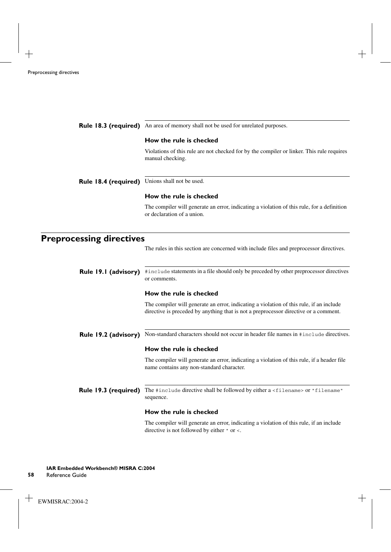<span id="page-61-5"></span><span id="page-61-4"></span><span id="page-61-3"></span><span id="page-61-2"></span><span id="page-61-1"></span><span id="page-61-0"></span>

|                                 | Rule 18.3 (required) An area of memory shall not be used for unrelated purposes.                                                                                                |
|---------------------------------|---------------------------------------------------------------------------------------------------------------------------------------------------------------------------------|
|                                 | How the rule is checked                                                                                                                                                         |
|                                 | Violations of this rule are not checked for by the compiler or linker. This rule requires<br>manual checking.                                                                   |
| Rule 18.4 (required)            | Unions shall not be used.                                                                                                                                                       |
|                                 | How the rule is checked                                                                                                                                                         |
|                                 | The compiler will generate an error, indicating a violation of this rule, for a definition<br>or declaration of a union.                                                        |
| <b>Preprocessing directives</b> |                                                                                                                                                                                 |
|                                 | The rules in this section are concerned with include files and preprocessor directives.                                                                                         |
| Rule 19.1 (advisory)            | #include statements in a file should only be preceded by other preprocessor directives<br>or comments.                                                                          |
|                                 | How the rule is checked                                                                                                                                                         |
|                                 | The compiler will generate an error, indicating a violation of this rule, if an include<br>directive is preceded by anything that is not a preprocessor directive or a comment. |
| Rule 19.2 (advisory)            | Non-standard characters should not occur in header file names in #include directives.                                                                                           |
|                                 | How the rule is checked                                                                                                                                                         |
|                                 | The compiler will generate an error, indicating a violation of this rule, if a header file<br>name contains any non-standard character.                                         |
| Rule 19.3 (required)            | The #include directive shall be followed by either a <filename> or "filename"<br/>sequence.</filename>                                                                          |
|                                 | How the rule is checked                                                                                                                                                         |
|                                 | The compiler will generate an error, indicating a violation of this rule, if an include<br>directive is not followed by either " or <.                                          |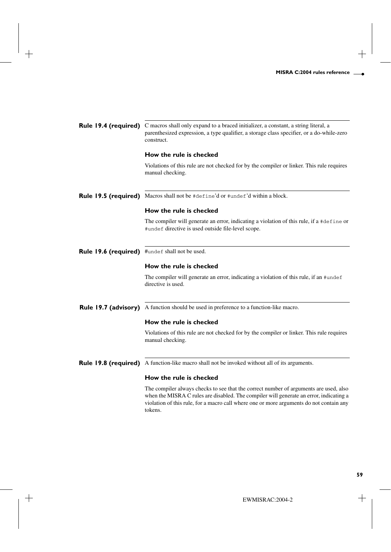<span id="page-62-4"></span><span id="page-62-3"></span><span id="page-62-2"></span><span id="page-62-1"></span><span id="page-62-0"></span>

|                      | <b>Rule 19.4 (required)</b> C macros shall only expand to a braced initializer, a constant, a string literal, a<br>parenthesized expression, a type qualifier, a storage class specifier, or a do-while-zero<br>construct.                                                            |
|----------------------|---------------------------------------------------------------------------------------------------------------------------------------------------------------------------------------------------------------------------------------------------------------------------------------|
|                      | <b>How the rule is checked</b>                                                                                                                                                                                                                                                        |
|                      | Violations of this rule are not checked for by the compiler or linker. This rule requires<br>manual checking.                                                                                                                                                                         |
|                      | Rule 19.5 (required) Macros shall not be #define'd or #undef'd within a block.                                                                                                                                                                                                        |
|                      | How the rule is checked                                                                                                                                                                                                                                                               |
|                      | The compiler will generate an error, indicating a violation of this rule, if a #define or<br>#undef directive is used outside file-level scope.                                                                                                                                       |
|                      | Rule 19.6 (required) #undef shall not be used.                                                                                                                                                                                                                                        |
|                      | How the rule is checked                                                                                                                                                                                                                                                               |
|                      | The compiler will generate an error, indicating a violation of this rule, if an $\#$ undef<br>directive is used.                                                                                                                                                                      |
| Rule 19.7 (advisory) | A function should be used in preference to a function-like macro.                                                                                                                                                                                                                     |
|                      | How the rule is checked                                                                                                                                                                                                                                                               |
|                      | Violations of this rule are not checked for by the compiler or linker. This rule requires<br>manual checking.                                                                                                                                                                         |
| Rule 19.8 (required) | A function-like macro shall not be invoked without all of its arguments.                                                                                                                                                                                                              |
|                      | How the rule is checked                                                                                                                                                                                                                                                               |
|                      | The compiler always checks to see that the correct number of arguments are used, also<br>when the MISRA C rules are disabled. The compiler will generate an error, indicating a<br>violation of this rule, for a macro call where one or more arguments do not contain any<br>tokens. |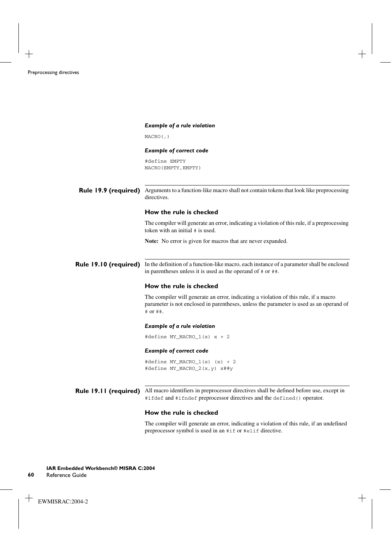#### *Example of a rule violation*

MACRO(,)

#### *Example of correct code*

#define EMPTY MACRO(EMPTY,EMPTY)

**Rule 19.9 (required)** Arguments to a function-like macro shall not contain tokens that look like preprocessing directives.

#### <span id="page-63-0"></span>**How the rule is checked**

The compiler will generate an error, indicating a violation of this rule, if a preprocessing token with an initial # is used.

<span id="page-63-1"></span>**Note:** No error is given for macros that are never expanded.

**Rule 19.10 (required)** In the definition of a function-like macro, each instance of a parameter shall be enclosed in parentheses unless it is used as the operand of # or ##.

#### **How the rule is checked**

The compiler will generate an error, indicating a violation of this rule, if a macro parameter is not enclosed in parentheses, unless the parameter is used as an operand of  $# or ##.$ 

#### *Example of a rule violation*

#define MY\_MACRO\_1(x) x + 2

#### *Example of correct code*

#define MY\_MACRO\_ $1(x)$   $(x) + 2$ #define MY\_MACRO\_2(x,y) x##y

**Rule 19.11 (required)** All macro identifiers in preprocessor directives shall be defined before use, except in #ifdef and #ifndef preprocessor directives and the defined() operator.

#### <span id="page-63-2"></span>**How the rule is checked**

The compiler will generate an error, indicating a violation of this rule, if an undefined preprocessor symbol is used in an #if or #elif directive.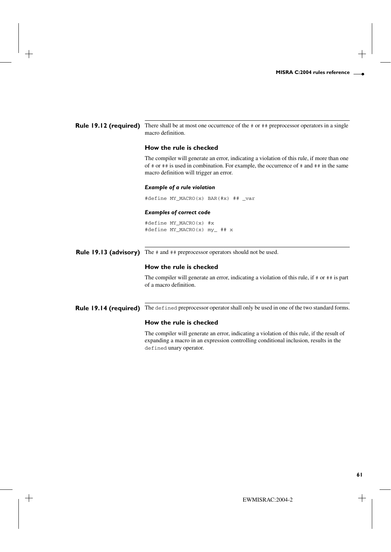| <b>Rule 19.12 (required)</b> There shall be at most one occurrence of the # or ## preprocessor operators in a single |
|----------------------------------------------------------------------------------------------------------------------|
| macro definition.                                                                                                    |

#### <span id="page-64-0"></span>**How the rule is checked**

The compiler will generate an error, indicating a violation of this rule, if more than one of  $#$  or  $#$  is used in combination. For example, the occurrence of  $#$  and  $#$  in the same macro definition will trigger an error.

#### *Example of a rule violation*

#define MY\_MACRO(x) BAR(#x) ## \_var

#### *Examples of correct code*

#define MY\_MACRO(x) #x #define MY\_MACRO(x) my\_ ## x

**Rule 19.13 (advisory)** The # and ## preprocessor operators should not be used.

#### <span id="page-64-1"></span>**How the rule is checked**

The compiler will generate an error, indicating a violation of this rule, if  $\#$  or  $\# \#$  is part of a macro definition.

**Rule 19.14 (required)** The defined preprocessor operator shall only be used in one of the two standard forms.

#### <span id="page-64-2"></span>**How the rule is checked**

The compiler will generate an error, indicating a violation of this rule, if the result of expanding a macro in an expression controlling conditional inclusion, results in the defined unary operator.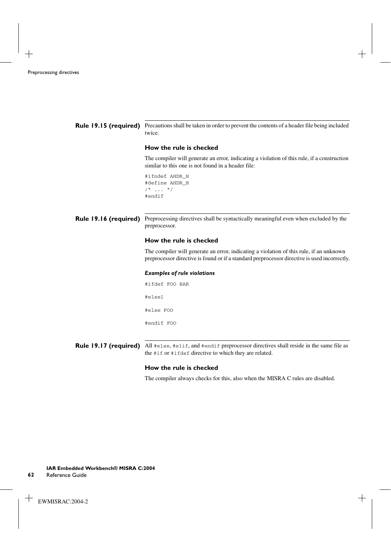<span id="page-65-1"></span><span id="page-65-0"></span>**Rule 19.15 (required)** Precautions shall be taken in order to prevent the contents of a header file being included twice. **How the rule is checked** The compiler will generate an error, indicating a violation of this rule, if a construction similar to this one is not found in a header file: #ifndef AHDR\_H #define AHDR\_H  $/$ \* ... \*/ #endif **Rule 19.16 (required)** Preprocessing directives shall be syntactically meaningful even when excluded by the preprocessor. **How the rule is checked** The compiler will generate an error, indicating a violation of this rule, if an unknown preprocessor directive is found or if a standard preprocessor directive is used incorrectly. *Examples of rule violations* #ifdef FOO BAR #else1 #else FOO #endif FOO **Rule 19.17 (required)** All #else, #elif, and #endif preprocessor directives shall reside in the same file as the #if or #ifdef directive to which they are related. **How the rule is checked** The compiler always checks for this, also when the MISRA C rules are disabled.

<span id="page-65-2"></span>**62**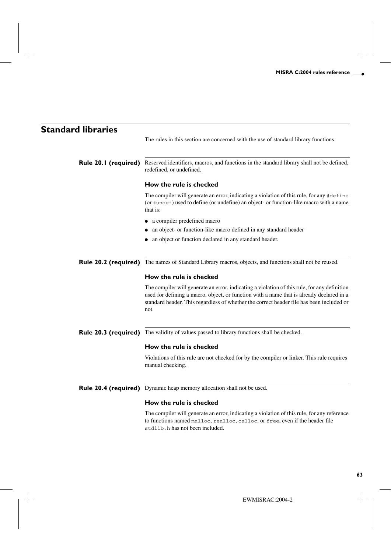<span id="page-66-4"></span><span id="page-66-3"></span><span id="page-66-2"></span><span id="page-66-1"></span><span id="page-66-0"></span>

| <b>Standard libraries</b> |                                                                                                                                                                                                                                                                                              |
|---------------------------|----------------------------------------------------------------------------------------------------------------------------------------------------------------------------------------------------------------------------------------------------------------------------------------------|
|                           | The rules in this section are concerned with the use of standard library functions.                                                                                                                                                                                                          |
| Rule 20.1 (required)      | Reserved identifiers, macros, and functions in the standard library shall not be defined,<br>redefined, or undefined.                                                                                                                                                                        |
|                           | How the rule is checked                                                                                                                                                                                                                                                                      |
|                           | The compiler will generate an error, indicating a violation of this rule, for any #define<br>(or #undef) used to define (or undefine) an object- or function-like macro with a name<br>that is:                                                                                              |
|                           | • a compiler predefined macro                                                                                                                                                                                                                                                                |
|                           | an object- or function-like macro defined in any standard header                                                                                                                                                                                                                             |
|                           | an object or function declared in any standard header.<br>$\bullet$                                                                                                                                                                                                                          |
| Rule 20.2 (required)      | The names of Standard Library macros, objects, and functions shall not be reused.                                                                                                                                                                                                            |
|                           | How the rule is checked                                                                                                                                                                                                                                                                      |
|                           | The compiler will generate an error, indicating a violation of this rule, for any definition<br>used for defining a macro, object, or function with a name that is already declared in a<br>standard header. This regardless of whether the correct header file has been included or<br>not. |
| Rule 20.3 (required)      | The validity of values passed to library functions shall be checked.                                                                                                                                                                                                                         |
|                           | How the rule is checked                                                                                                                                                                                                                                                                      |
|                           | Violations of this rule are not checked for by the compiler or linker. This rule requires<br>manual checking.                                                                                                                                                                                |
| Rule 20.4 (required)      | Dynamic heap memory allocation shall not be used.                                                                                                                                                                                                                                            |
|                           | How the rule is checked                                                                                                                                                                                                                                                                      |
|                           | The compiler will generate an error, indicating a violation of this rule, for any reference<br>to functions named malloc, realloc, calloc, or free, even if the header file<br>stdlib.h has not been included.                                                                               |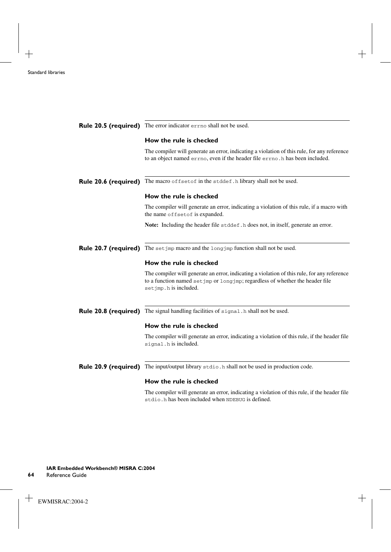<span id="page-67-4"></span><span id="page-67-3"></span><span id="page-67-2"></span><span id="page-67-1"></span><span id="page-67-0"></span>

|                      | Rule 20.5 (required) The error indicator errno shall not be used.                                                                                                                                      |  |
|----------------------|--------------------------------------------------------------------------------------------------------------------------------------------------------------------------------------------------------|--|
|                      | How the rule is checked                                                                                                                                                                                |  |
|                      | The compiler will generate an error, indicating a violation of this rule, for any reference<br>to an object named errno, even if the header file errno. h has been included.                           |  |
|                      | Rule 20.6 (required) The macro offset of in the stddef. h library shall not be used.                                                                                                                   |  |
|                      | How the rule is checked                                                                                                                                                                                |  |
|                      | The compiler will generate an error, indicating a violation of this rule, if a macro with<br>the name offsetof is expanded.                                                                            |  |
|                      | <b>Note:</b> Including the header file stddef. h does not, in itself, generate an error.                                                                                                               |  |
| Rule 20.7 (required) | The set imp macro and the long imp function shall not be used.                                                                                                                                         |  |
|                      | How the rule is checked                                                                                                                                                                                |  |
|                      | The compiler will generate an error, indicating a violation of this rule, for any reference<br>to a function named set jmp or long jmp; regardless of whether the header file<br>setjmp.h is included. |  |
|                      | Rule 20.8 (required) The signal handling facilities of signal. h shall not be used.                                                                                                                    |  |
|                      | How the rule is checked                                                                                                                                                                                |  |
|                      | The compiler will generate an error, indicating a violation of this rule, if the header file<br>signal.h is included.                                                                                  |  |
| Rule 20.9 (required) | The input/output library stdio.h shall not be used in production code.                                                                                                                                 |  |
|                      | How the rule is checked                                                                                                                                                                                |  |
|                      | The compiler will generate an error, indicating a violation of this rule, if the header file<br>stdio.h has been included when NDEBUG is defined.                                                      |  |